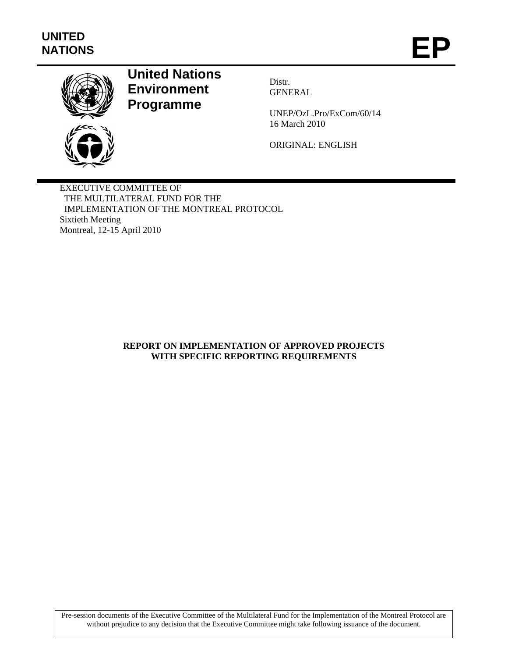

# **United Nations Environment Programme**

Distr. **GENERAL** 

UNEP/OzL.Pro/ExCom/60/14 16 March 2010

ORIGINAL: ENGLISH

EXECUTIVE COMMITTEE OF THE MULTILATERAL FUND FOR THE IMPLEMENTATION OF THE MONTREAL PROTOCOL Sixtieth Meeting Montreal, 12-15 April 2010

# **REPORT ON IMPLEMENTATION OF APPROVED PROJECTS WITH SPECIFIC REPORTING REQUIREMENTS**

Pre-session documents of the Executive Committee of the Multilateral Fund for the Implementation of the Montreal Protocol are without prejudice to any decision that the Executive Committee might take following issuance of the document.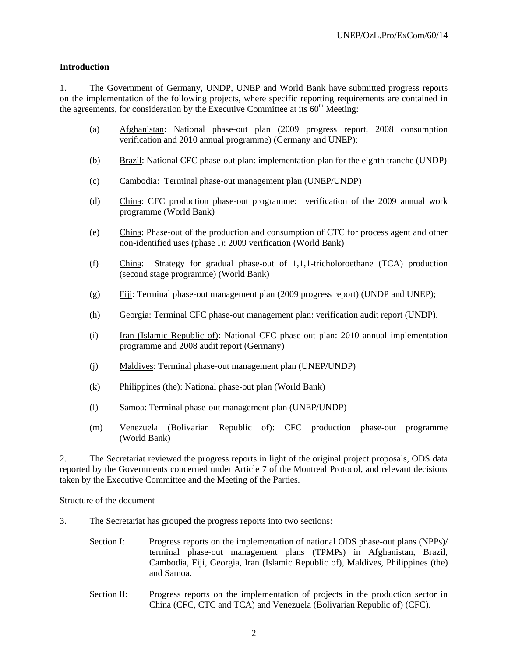# **Introduction**

1. The Government of Germany, UNDP, UNEP and World Bank have submitted progress reports on the implementation of the following projects, where specific reporting requirements are contained in the agreements, for consideration by the Executive Committee at its  $60<sup>th</sup>$  Meeting:

- (a) Afghanistan: National phase-out plan (2009 progress report, 2008 consumption verification and 2010 annual programme) (Germany and UNEP);
- (b) Brazil: National CFC phase-out plan: implementation plan for the eighth tranche (UNDP)
- (c) Cambodia: Terminal phase-out management plan (UNEP/UNDP)
- (d) China: CFC production phase-out programme: verification of the 2009 annual work programme (World Bank)
- (e) China: Phase-out of the production and consumption of CTC for process agent and other non-identified uses (phase I): 2009 verification (World Bank)
- (f) China: Strategy for gradual phase-out of 1,1,1-tricholoroethane (TCA) production (second stage programme) (World Bank)
- (g) Fiji: Terminal phase-out management plan (2009 progress report) (UNDP and UNEP);
- (h) Georgia: Terminal CFC phase-out management plan: verification audit report (UNDP).
- (i) Iran (Islamic Republic of): National CFC phase-out plan: 2010 annual implementation programme and 2008 audit report (Germany)
- (j) Maldives: Terminal phase-out management plan (UNEP/UNDP)
- (k) Philippines (the): National phase-out plan (World Bank)
- (l) Samoa: Terminal phase-out management plan (UNEP/UNDP)
- (m) Venezuela (Bolivarian Republic of): CFC production phase-out programme (World Bank)

2. The Secretariat reviewed the progress reports in light of the original project proposals, ODS data reported by the Governments concerned under Article 7 of the Montreal Protocol, and relevant decisions taken by the Executive Committee and the Meeting of the Parties.

#### Structure of the document

- 3. The Secretariat has grouped the progress reports into two sections:
	- Section I: Progress reports on the implementation of national ODS phase-out plans (NPPs)/ terminal phase-out management plans (TPMPs) in Afghanistan, Brazil, Cambodia, Fiji, Georgia, Iran (Islamic Republic of), Maldives, Philippines (the) and Samoa.
	- Section II: Progress reports on the implementation of projects in the production sector in China (CFC, CTC and TCA) and Venezuela (Bolivarian Republic of) (CFC).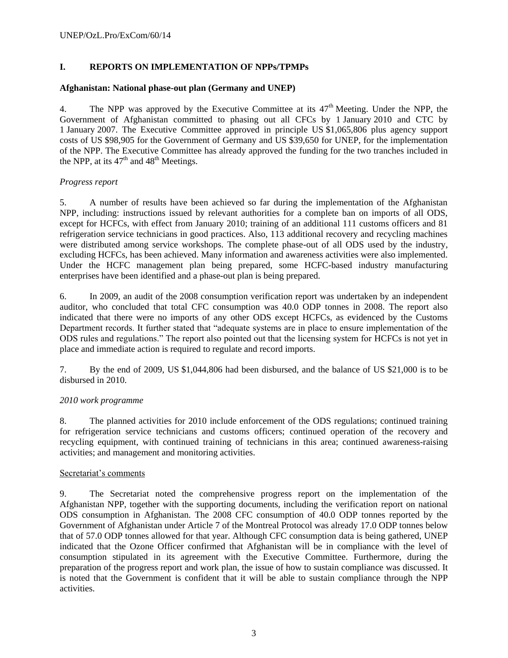# **I. REPORTS ON IMPLEMENTATION OF NPPs/TPMPs**

## **Afghanistan: National phase-out plan (Germany and UNEP)**

4. The NPP was approved by the Executive Committee at its  $47<sup>th</sup>$  Meeting. Under the NPP, the Government of Afghanistan committed to phasing out all CFCs by 1 January 2010 and CTC by 1 January 2007. The Executive Committee approved in principle US \$1,065,806 plus agency support costs of US \$98,905 for the Government of Germany and US \$39,650 for UNEP, for the implementation of the NPP. The Executive Committee has already approved the funding for the two tranches included in the NPP, at its  $47<sup>th</sup>$  and  $48<sup>th</sup>$  Meetings.

# *Progress report*

5. A number of results have been achieved so far during the implementation of the Afghanistan NPP, including: instructions issued by relevant authorities for a complete ban on imports of all ODS, except for HCFCs, with effect from January 2010; training of an additional 111 customs officers and 81 refrigeration service technicians in good practices. Also, 113 additional recovery and recycling machines were distributed among service workshops. The complete phase-out of all ODS used by the industry, excluding HCFCs, has been achieved. Many information and awareness activities were also implemented. Under the HCFC management plan being prepared, some HCFC-based industry manufacturing enterprises have been identified and a phase-out plan is being prepared.

6. In 2009, an audit of the 2008 consumption verification report was undertaken by an independent auditor, who concluded that total CFC consumption was 40.0 ODP tonnes in 2008. The report also indicated that there were no imports of any other ODS except HCFCs, as evidenced by the Customs Department records. It further stated that "adequate systems are in place to ensure implementation of the ODS rules and regulations." The report also pointed out that the licensing system for HCFCs is not yet in place and immediate action is required to regulate and record imports.

7. By the end of 2009, US \$1,044,806 had been disbursed, and the balance of US \$21,000 is to be disbursed in 2010.

# *2010 work programme*

8. The planned activities for 2010 include enforcement of the ODS regulations; continued training for refrigeration service technicians and customs officers; continued operation of the recovery and recycling equipment, with continued training of technicians in this area; continued awareness-raising activities; and management and monitoring activities.

#### Secretariat's comments

9. The Secretariat noted the comprehensive progress report on the implementation of the Afghanistan NPP, together with the supporting documents, including the verification report on national ODS consumption in Afghanistan. The 2008 CFC consumption of 40.0 ODP tonnes reported by the Government of Afghanistan under Article 7 of the Montreal Protocol was already 17.0 ODP tonnes below that of 57.0 ODP tonnes allowed for that year. Although CFC consumption data is being gathered, UNEP indicated that the Ozone Officer confirmed that Afghanistan will be in compliance with the level of consumption stipulated in its agreement with the Executive Committee. Furthermore, during the preparation of the progress report and work plan, the issue of how to sustain compliance was discussed. It is noted that the Government is confident that it will be able to sustain compliance through the NPP activities.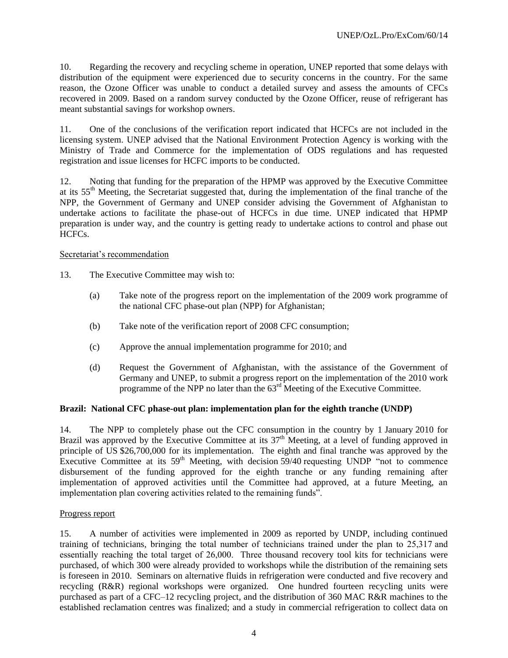10. Regarding the recovery and recycling scheme in operation, UNEP reported that some delays with distribution of the equipment were experienced due to security concerns in the country. For the same reason, the Ozone Officer was unable to conduct a detailed survey and assess the amounts of CFCs recovered in 2009. Based on a random survey conducted by the Ozone Officer, reuse of refrigerant has meant substantial savings for workshop owners.

11. One of the conclusions of the verification report indicated that HCFCs are not included in the licensing system. UNEP advised that the National Environment Protection Agency is working with the Ministry of Trade and Commerce for the implementation of ODS regulations and has requested registration and issue licenses for HCFC imports to be conducted.

12. Noting that funding for the preparation of the HPMP was approved by the Executive Committee at its 55th Meeting, the Secretariat suggested that, during the implementation of the final tranche of the NPP, the Government of Germany and UNEP consider advising the Government of Afghanistan to undertake actions to facilitate the phase-out of HCFCs in due time. UNEP indicated that HPMP preparation is under way, and the country is getting ready to undertake actions to control and phase out HCFCs.

#### Secretariat's recommendation

- 13. The Executive Committee may wish to:
	- (a) Take note of the progress report on the implementation of the 2009 work programme of the national CFC phase-out plan (NPP) for Afghanistan;
	- (b) Take note of the verification report of 2008 CFC consumption;
	- (c) Approve the annual implementation programme for 2010; and
	- (d) Request the Government of Afghanistan, with the assistance of the Government of Germany and UNEP, to submit a progress report on the implementation of the 2010 work programme of the NPP no later than the 63<sup>rd</sup> Meeting of the Executive Committee.

#### **Brazil: National CFC phase-out plan: implementation plan for the eighth tranche (UNDP)**

14. The NPP to completely phase out the CFC consumption in the country by 1 January 2010 for Brazil was approved by the Executive Committee at its  $37<sup>th</sup>$  Meeting, at a level of funding approved in principle of US \$26,700,000 for its implementation. The eighth and final tranche was approved by the Executive Committee at its  $59<sup>th</sup>$  Meeting, with decision  $59/40$  requesting UNDP "not to commence disbursement of the funding approved for the eighth tranche or any funding remaining after implementation of approved activities until the Committee had approved, at a future Meeting, an implementation plan covering activities related to the remaining funds".

#### Progress report

15. A number of activities were implemented in 2009 as reported by UNDP, including continued training of technicians, bringing the total number of technicians trained under the plan to 25,317 and essentially reaching the total target of 26,000. Three thousand recovery tool kits for technicians were purchased, of which 300 were already provided to workshops while the distribution of the remaining sets is foreseen in 2010. Seminars on alternative fluids in refrigeration were conducted and five recovery and recycling (R&R) regional workshops were organized. One hundred fourteen recycling units were purchased as part of a CFC–12 recycling project, and the distribution of 360 MAC R&R machines to the established reclamation centres was finalized; and a study in commercial refrigeration to collect data on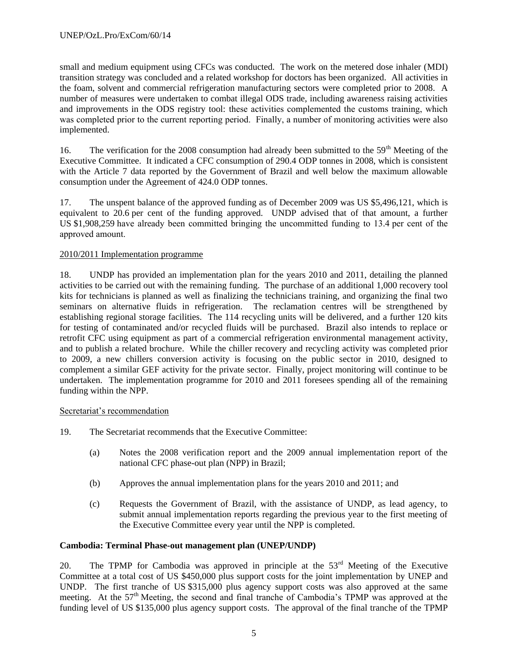small and medium equipment using CFCs was conducted. The work on the metered dose inhaler (MDI) transition strategy was concluded and a related workshop for doctors has been organized. All activities in the foam, solvent and commercial refrigeration manufacturing sectors were completed prior to 2008. A number of measures were undertaken to combat illegal ODS trade, including awareness raising activities and improvements in the ODS registry tool: these activities complemented the customs training, which was completed prior to the current reporting period. Finally, a number of monitoring activities were also implemented.

16. The verification for the 2008 consumption had already been submitted to the 59<sup>th</sup> Meeting of the Executive Committee. It indicated a CFC consumption of 290.4 ODP tonnes in 2008, which is consistent with the Article 7 data reported by the Government of Brazil and well below the maximum allowable consumption under the Agreement of 424.0 ODP tonnes.

17. The unspent balance of the approved funding as of December 2009 was US \$5,496,121, which is equivalent to 20.6 per cent of the funding approved. UNDP advised that of that amount, a further US \$1,908,259 have already been committed bringing the uncommitted funding to 13.4 per cent of the approved amount.

# 2010/2011 Implementation programme

18. UNDP has provided an implementation plan for the years 2010 and 2011, detailing the planned activities to be carried out with the remaining funding. The purchase of an additional 1,000 recovery tool kits for technicians is planned as well as finalizing the technicians training, and organizing the final two seminars on alternative fluids in refrigeration. The reclamation centres will be strengthened by establishing regional storage facilities. The 114 recycling units will be delivered, and a further 120 kits for testing of contaminated and/or recycled fluids will be purchased. Brazil also intends to replace or retrofit CFC using equipment as part of a commercial refrigeration environmental management activity, and to publish a related brochure. While the chiller recovery and recycling activity was completed prior to 2009, a new chillers conversion activity is focusing on the public sector in 2010, designed to complement a similar GEF activity for the private sector. Finally, project monitoring will continue to be undertaken. The implementation programme for 2010 and 2011 foresees spending all of the remaining funding within the NPP.

#### Secretariat's recommendation

- 19. The Secretariat recommends that the Executive Committee:
	- (a) Notes the 2008 verification report and the 2009 annual implementation report of the national CFC phase-out plan (NPP) in Brazil;
	- (b) Approves the annual implementation plans for the years 2010 and 2011; and
	- (c) Requests the Government of Brazil, with the assistance of UNDP, as lead agency, to submit annual implementation reports regarding the previous year to the first meeting of the Executive Committee every year until the NPP is completed.

#### **Cambodia: Terminal Phase-out management plan (UNEP/UNDP)**

20. The TPMP for Cambodia was approved in principle at the  $53<sup>rd</sup>$  Meeting of the Executive Committee at a total cost of US \$450,000 plus support costs for the joint implementation by UNEP and UNDP. The first tranche of US \$315,000 plus agency support costs was also approved at the same meeting. At the 57<sup>th</sup> Meeting, the second and final tranche of Cambodia's TPMP was approved at the funding level of US \$135,000 plus agency support costs. The approval of the final tranche of the TPMP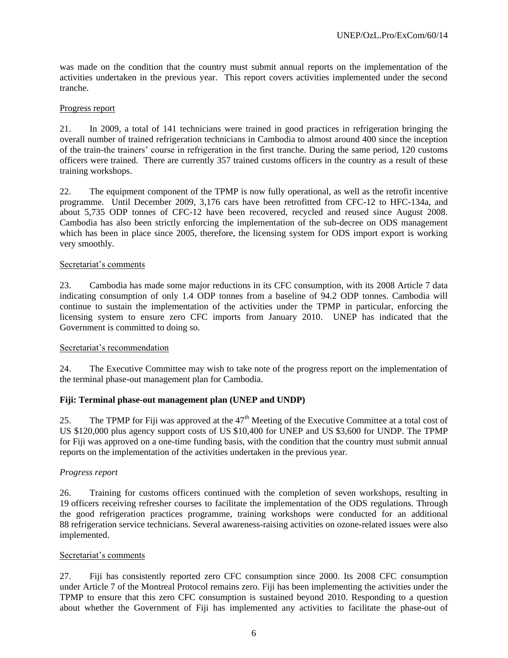was made on the condition that the country must submit annual reports on the implementation of the activities undertaken in the previous year. This report covers activities implemented under the second tranche.

#### Progress report

21. In 2009, a total of 141 technicians were trained in good practices in refrigeration bringing the overall number of trained refrigeration technicians in Cambodia to almost around 400 since the inception of the train-the trainers' course in refrigeration in the first tranche. During the same period, 120 customs officers were trained. There are currently 357 trained customs officers in the country as a result of these training workshops.

22. The equipment component of the TPMP is now fully operational, as well as the retrofit incentive programme. Until December 2009, 3,176 cars have been retrofitted from CFC-12 to HFC-134a, and about 5,735 ODP tonnes of CFC-12 have been recovered, recycled and reused since August 2008. Cambodia has also been strictly enforcing the implementation of the sub-decree on ODS management which has been in place since 2005, therefore, the licensing system for ODS import export is working very smoothly.

#### Secretariat's comments

23. Cambodia has made some major reductions in its CFC consumption, with its 2008 Article 7 data indicating consumption of only 1.4 ODP tonnes from a baseline of 94.2 ODP tonnes. Cambodia will continue to sustain the implementation of the activities under the TPMP in particular, enforcing the licensing system to ensure zero CFC imports from January 2010. UNEP has indicated that the Government is committed to doing so.

#### Secretariat's recommendation

24. The Executive Committee may wish to take note of the progress report on the implementation of the terminal phase-out management plan for Cambodia.

#### **Fiji: Terminal phase-out management plan (UNEP and UNDP)**

25. The TPMP for Fiji was approved at the  $47<sup>th</sup>$  Meeting of the Executive Committee at a total cost of US \$120,000 plus agency support costs of US \$10,400 for UNEP and US \$3,600 for UNDP. The TPMP for Fiji was approved on a one-time funding basis, with the condition that the country must submit annual reports on the implementation of the activities undertaken in the previous year.

#### *Progress report*

26. Training for customs officers continued with the completion of seven workshops, resulting in 19 officers receiving refresher courses to facilitate the implementation of the ODS regulations. Through the good refrigeration practices programme, training workshops were conducted for an additional 88 refrigeration service technicians. Several awareness-raising activities on ozone-related issues were also implemented.

#### Secretariat's comments

27. Fiji has consistently reported zero CFC consumption since 2000. Its 2008 CFC consumption under Article 7 of the Montreal Protocol remains zero. Fiji has been implementing the activities under the TPMP to ensure that this zero CFC consumption is sustained beyond 2010. Responding to a question about whether the Government of Fiji has implemented any activities to facilitate the phase-out of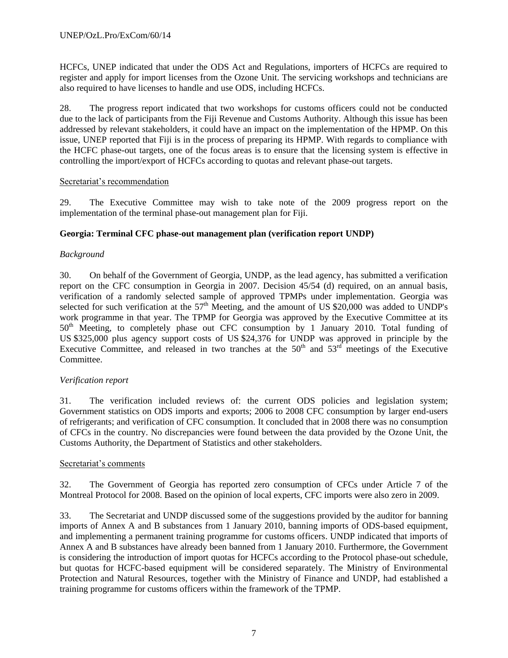HCFCs, UNEP indicated that under the ODS Act and Regulations, importers of HCFCs are required to register and apply for import licenses from the Ozone Unit. The servicing workshops and technicians are also required to have licenses to handle and use ODS, including HCFCs.

28. The progress report indicated that two workshops for customs officers could not be conducted due to the lack of participants from the Fiji Revenue and Customs Authority. Although this issue has been addressed by relevant stakeholders, it could have an impact on the implementation of the HPMP. On this issue, UNEP reported that Fiji is in the process of preparing its HPMP. With regards to compliance with the HCFC phase-out targets, one of the focus areas is to ensure that the licensing system is effective in controlling the import/export of HCFCs according to quotas and relevant phase-out targets.

#### Secretariat's recommendation

29. The Executive Committee may wish to take note of the 2009 progress report on the implementation of the terminal phase-out management plan for Fiji.

#### **Georgia: Terminal CFC phase-out management plan (verification report UNDP)**

#### *Background*

30. On behalf of the Government of Georgia, UNDP, as the lead agency, has submitted a verification report on the CFC consumption in Georgia in 2007. Decision 45/54 (d) required, on an annual basis, verification of a randomly selected sample of approved TPMPs under implementation. Georgia was selected for such verification at the  $57<sup>th</sup>$  Meeting, and the amount of US \$20,000 was added to UNDP's work programme in that year. The TPMP for Georgia was approved by the Executive Committee at its 50<sup>th</sup> Meeting, to completely phase out CFC consumption by 1 January 2010. Total funding of US \$325,000 plus agency support costs of US \$24,376 for UNDP was approved in principle by the Executive Committee, and released in two tranches at the  $50<sup>th</sup>$  and  $53<sup>rd</sup>$  meetings of the Executive Committee.

#### *Verification report*

31. The verification included reviews of: the current ODS policies and legislation system; Government statistics on ODS imports and exports; 2006 to 2008 CFC consumption by larger end-users of refrigerants; and verification of CFC consumption. It concluded that in 2008 there was no consumption of CFCs in the country. No discrepancies were found between the data provided by the Ozone Unit, the Customs Authority, the Department of Statistics and other stakeholders.

#### Secretariat's comments

32. The Government of Georgia has reported zero consumption of CFCs under Article 7 of the Montreal Protocol for 2008. Based on the opinion of local experts, CFC imports were also zero in 2009.

33. The Secretariat and UNDP discussed some of the suggestions provided by the auditor for banning imports of Annex A and B substances from 1 January 2010, banning imports of ODS-based equipment, and implementing a permanent training programme for customs officers. UNDP indicated that imports of Annex A and B substances have already been banned from 1 January 2010. Furthermore, the Government is considering the introduction of import quotas for HCFCs according to the Protocol phase-out schedule, but quotas for HCFC-based equipment will be considered separately. The Ministry of Environmental Protection and Natural Resources, together with the Ministry of Finance and UNDP, had established a training programme for customs officers within the framework of the TPMP.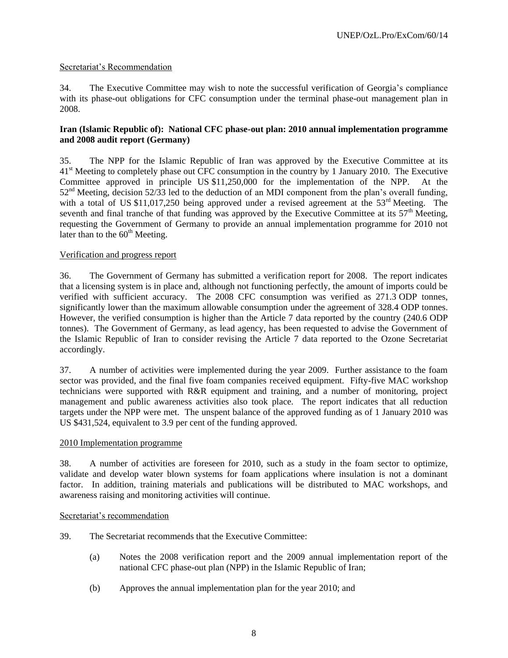# Secretariat's Recommendation

34. The Executive Committee may wish to note the successful verification of Georgia's compliance with its phase-out obligations for CFC consumption under the terminal phase-out management plan in 2008.

#### **Iran (Islamic Republic of): National CFC phase-out plan: 2010 annual implementation programme and 2008 audit report (Germany)**

35. The NPP for the Islamic Republic of Iran was approved by the Executive Committee at its 41<sup>st</sup> Meeting to completely phase out CFC consumption in the country by 1 January 2010. The Executive Committee approved in principle US \$11,250,000 for the implementation of the NPP. At the  $52<sup>nd</sup>$  Meeting, decision  $52/\overline{33}$  led to the deduction of an MDI component from the plan's overall funding, with a total of US \$11,017,250 being approved under a revised agreement at the 53<sup>rd</sup> Meeting. The seventh and final tranche of that funding was approved by the Executive Committee at its  $57<sup>th</sup>$  Meeting, requesting the Government of Germany to provide an annual implementation programme for 2010 not later than to the  $60<sup>th</sup>$  Meeting.

#### Verification and progress report

36. The Government of Germany has submitted a verification report for 2008. The report indicates that a licensing system is in place and, although not functioning perfectly, the amount of imports could be verified with sufficient accuracy. The 2008 CFC consumption was verified as 271.3 ODP tonnes, significantly lower than the maximum allowable consumption under the agreement of 328.4 ODP tonnes. However, the verified consumption is higher than the Article 7 data reported by the country (240.6 ODP tonnes). The Government of Germany, as lead agency, has been requested to advise the Government of the Islamic Republic of Iran to consider revising the Article 7 data reported to the Ozone Secretariat accordingly.

37. A number of activities were implemented during the year 2009. Further assistance to the foam sector was provided, and the final five foam companies received equipment. Fifty-five MAC workshop technicians were supported with R&R equipment and training, and a number of monitoring, project management and public awareness activities also took place. The report indicates that all reduction targets under the NPP were met. The unspent balance of the approved funding as of 1 January 2010 was US \$431,524, equivalent to 3.9 per cent of the funding approved.

## 2010 Implementation programme

38. A number of activities are foreseen for 2010, such as a study in the foam sector to optimize, validate and develop water blown systems for foam applications where insulation is not a dominant factor. In addition, training materials and publications will be distributed to MAC workshops, and awareness raising and monitoring activities will continue.

#### Secretariat's recommendation

- 39. The Secretariat recommends that the Executive Committee:
	- (a) Notes the 2008 verification report and the 2009 annual implementation report of the national CFC phase-out plan (NPP) in the Islamic Republic of Iran;
	- (b) Approves the annual implementation plan for the year 2010; and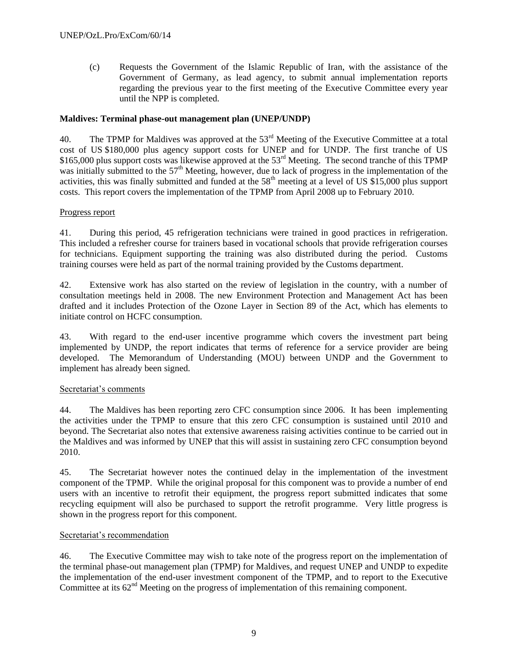(c) Requests the Government of the Islamic Republic of Iran, with the assistance of the Government of Germany, as lead agency, to submit annual implementation reports regarding the previous year to the first meeting of the Executive Committee every year until the NPP is completed.

## **Maldives: Terminal phase-out management plan (UNEP/UNDP)**

40. The TPMP for Maldives was approved at the 53<sup>rd</sup> Meeting of the Executive Committee at a total cost of US \$180,000 plus agency support costs for UNEP and for UNDP. The first tranche of US \$165,000 plus support costs was likewise approved at the 53<sup>rd</sup> Meeting. The second tranche of this TPMP was initially submitted to the  $57<sup>th</sup>$  Meeting, however, due to lack of progress in the implementation of the activities, this was finally submitted and funded at the  $58<sup>th</sup>$  meeting at a level of US \$15,000 plus support costs. This report covers the implementation of the TPMP from April 2008 up to February 2010.

#### Progress report

41. During this period, 45 refrigeration technicians were trained in good practices in refrigeration. This included a refresher course for trainers based in vocational schools that provide refrigeration courses for technicians. Equipment supporting the training was also distributed during the period. Customs training courses were held as part of the normal training provided by the Customs department.

42. Extensive work has also started on the review of legislation in the country, with a number of consultation meetings held in 2008. The new Environment Protection and Management Act has been drafted and it includes Protection of the Ozone Layer in Section 89 of the Act, which has elements to initiate control on HCFC consumption.

43. With regard to the end-user incentive programme which covers the investment part being implemented by UNDP, the report indicates that terms of reference for a service provider are being developed. The Memorandum of Understanding (MOU) between UNDP and the Government to implement has already been signed.

#### Secretariat's comments

44. The Maldives has been reporting zero CFC consumption since 2006. It has been implementing the activities under the TPMP to ensure that this zero CFC consumption is sustained until 2010 and beyond. The Secretariat also notes that extensive awareness raising activities continue to be carried out in the Maldives and was informed by UNEP that this will assist in sustaining zero CFC consumption beyond 2010.

45. The Secretariat however notes the continued delay in the implementation of the investment component of the TPMP. While the original proposal for this component was to provide a number of end users with an incentive to retrofit their equipment, the progress report submitted indicates that some recycling equipment will also be purchased to support the retrofit programme. Very little progress is shown in the progress report for this component.

## Secretariat's recommendation

46. The Executive Committee may wish to take note of the progress report on the implementation of the terminal phase-out management plan (TPMP) for Maldives, and request UNEP and UNDP to expedite the implementation of the end-user investment component of the TPMP, and to report to the Executive Committee at its  $62<sup>nd</sup>$  Meeting on the progress of implementation of this remaining component.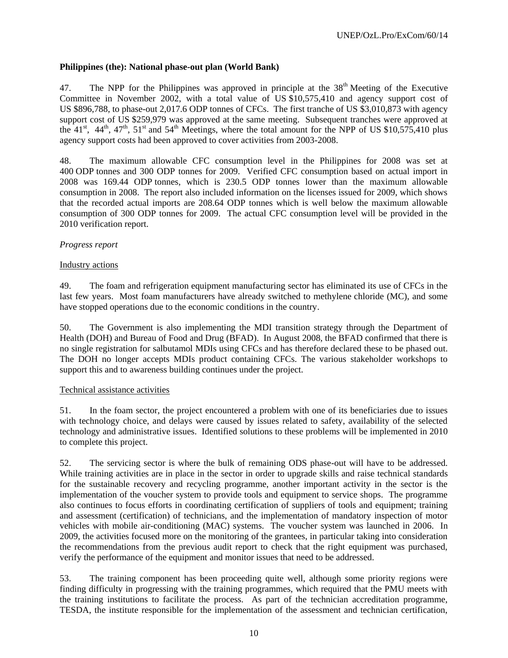## **Philippines (the): National phase-out plan (World Bank)**

47. The NPP for the Philippines was approved in principle at the  $38<sup>th</sup>$  Meeting of the Executive Committee in November 2002, with a total value of US \$10,575,410 and agency support cost of US \$896,788, to phase-out 2,017.6 ODP tonnes of CFCs. The first tranche of US \$3,010,873 with agency support cost of US \$259,979 was approved at the same meeting. Subsequent tranches were approved at the  $41^{\text{st}}$ ,  $44^{\text{th}}$ ,  $47^{\text{th}}$ ,  $51^{\text{st}}$  and  $54^{\text{th}}$  Meetings, where the total amount for the NPP of US \$10,575,410 plus agency support costs had been approved to cover activities from 2003-2008.

48. The maximum allowable CFC consumption level in the Philippines for 2008 was set at 400 ODP tonnes and 300 ODP tonnes for 2009. Verified CFC consumption based on actual import in 2008 was 169.44 ODP tonnes, which is 230.5 ODP tonnes lower than the maximum allowable consumption in 2008. The report also included information on the licenses issued for 2009, which shows that the recorded actual imports are 208.64 ODP tonnes which is well below the maximum allowable consumption of 300 ODP tonnes for 2009. The actual CFC consumption level will be provided in the 2010 verification report.

#### *Progress report*

#### Industry actions

49. The foam and refrigeration equipment manufacturing sector has eliminated its use of CFCs in the last few years. Most foam manufacturers have already switched to methylene chloride (MC), and some have stopped operations due to the economic conditions in the country.

50. The Government is also implementing the MDI transition strategy through the Department of Health (DOH) and Bureau of Food and Drug (BFAD). In August 2008, the BFAD confirmed that there is no single registration for salbutamol MDIs using CFCs and has therefore declared these to be phased out. The DOH no longer accepts MDIs product containing CFCs. The various stakeholder workshops to support this and to awareness building continues under the project.

#### Technical assistance activities

51. In the foam sector, the project encountered a problem with one of its beneficiaries due to issues with technology choice, and delays were caused by issues related to safety, availability of the selected technology and administrative issues. Identified solutions to these problems will be implemented in 2010 to complete this project.

52. The servicing sector is where the bulk of remaining ODS phase-out will have to be addressed. While training activities are in place in the sector in order to upgrade skills and raise technical standards for the sustainable recovery and recycling programme, another important activity in the sector is the implementation of the voucher system to provide tools and equipment to service shops. The programme also continues to focus efforts in coordinating certification of suppliers of tools and equipment; training and assessment (certification) of technicians, and the implementation of mandatory inspection of motor vehicles with mobile air-conditioning (MAC) systems. The voucher system was launched in 2006. In 2009, the activities focused more on the monitoring of the grantees, in particular taking into consideration the recommendations from the previous audit report to check that the right equipment was purchased, verify the performance of the equipment and monitor issues that need to be addressed.

53. The training component has been proceeding quite well, although some priority regions were finding difficulty in progressing with the training programmes, which required that the PMU meets with the training institutions to facilitate the process. As part of the technician accreditation programme, TESDA, the institute responsible for the implementation of the assessment and technician certification,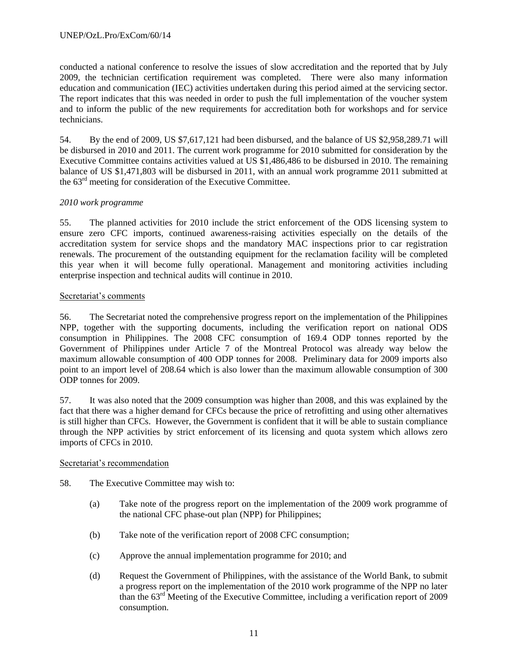conducted a national conference to resolve the issues of slow accreditation and the reported that by July 2009, the technician certification requirement was completed. There were also many information education and communication (IEC) activities undertaken during this period aimed at the servicing sector. The report indicates that this was needed in order to push the full implementation of the voucher system and to inform the public of the new requirements for accreditation both for workshops and for service technicians.

54. By the end of 2009, US \$7,617,121 had been disbursed, and the balance of US \$2,958,289.71 will be disbursed in 2010 and 2011. The current work programme for 2010 submitted for consideration by the Executive Committee contains activities valued at US \$1,486,486 to be disbursed in 2010. The remaining balance of US \$1,471,803 will be disbursed in 2011, with an annual work programme 2011 submitted at the 63rd meeting for consideration of the Executive Committee.

# *2010 work programme*

55. The planned activities for 2010 include the strict enforcement of the ODS licensing system to ensure zero CFC imports, continued awareness-raising activities especially on the details of the accreditation system for service shops and the mandatory MAC inspections prior to car registration renewals. The procurement of the outstanding equipment for the reclamation facility will be completed this year when it will become fully operational. Management and monitoring activities including enterprise inspection and technical audits will continue in 2010.

# Secretariat's comments

56. The Secretariat noted the comprehensive progress report on the implementation of the Philippines NPP, together with the supporting documents, including the verification report on national ODS consumption in Philippines. The 2008 CFC consumption of 169.4 ODP tonnes reported by the Government of Philippines under Article 7 of the Montreal Protocol was already way below the maximum allowable consumption of 400 ODP tonnes for 2008. Preliminary data for 2009 imports also point to an import level of 208.64 which is also lower than the maximum allowable consumption of 300 ODP tonnes for 2009.

57. It was also noted that the 2009 consumption was higher than 2008, and this was explained by the fact that there was a higher demand for CFCs because the price of retrofitting and using other alternatives is still higher than CFCs. However, the Government is confident that it will be able to sustain compliance through the NPP activities by strict enforcement of its licensing and quota system which allows zero imports of CFCs in 2010.

#### Secretariat's recommendation

- 58. The Executive Committee may wish to:
	- (a) Take note of the progress report on the implementation of the 2009 work programme of the national CFC phase-out plan (NPP) for Philippines;
	- (b) Take note of the verification report of 2008 CFC consumption;
	- (c) Approve the annual implementation programme for 2010; and
	- (d) Request the Government of Philippines, with the assistance of the World Bank, to submit a progress report on the implementation of the 2010 work programme of the NPP no later than the 63rd Meeting of the Executive Committee, including a verification report of 2009 consumption.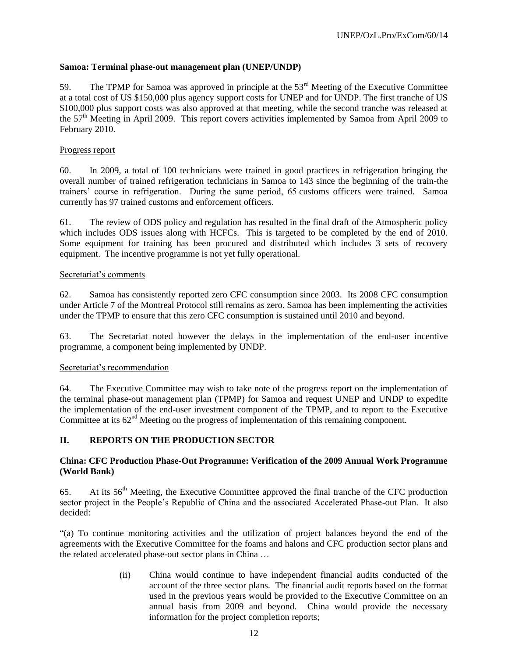# **Samoa: Terminal phase-out management plan (UNEP/UNDP)**

59. The TPMP for Samoa was approved in principle at the 53<sup>rd</sup> Meeting of the Executive Committee at a total cost of US \$150,000 plus agency support costs for UNEP and for UNDP. The first tranche of US \$100,000 plus support costs was also approved at that meeting, while the second tranche was released at the 57<sup>th</sup> Meeting in April 2009. This report covers activities implemented by Samoa from April 2009 to February 2010.

## Progress report

60. In 2009, a total of 100 technicians were trained in good practices in refrigeration bringing the overall number of trained refrigeration technicians in Samoa to 143 since the beginning of the train-the trainers' course in refrigeration. During the same period, 65 customs officers were trained. Samoa currently has 97 trained customs and enforcement officers.

61. The review of ODS policy and regulation has resulted in the final draft of the Atmospheric policy which includes ODS issues along with HCFCs. This is targeted to be completed by the end of 2010. Some equipment for training has been procured and distributed which includes 3 sets of recovery equipment. The incentive programme is not yet fully operational.

#### Secretariat's comments

62. Samoa has consistently reported zero CFC consumption since 2003. Its 2008 CFC consumption under Article 7 of the Montreal Protocol still remains as zero. Samoa has been implementing the activities under the TPMP to ensure that this zero CFC consumption is sustained until 2010 and beyond.

63. The Secretariat noted however the delays in the implementation of the end-user incentive programme, a component being implemented by UNDP.

#### Secretariat's recommendation

64. The Executive Committee may wish to take note of the progress report on the implementation of the terminal phase-out management plan (TPMP) for Samoa and request UNEP and UNDP to expedite the implementation of the end-user investment component of the TPMP, and to report to the Executive Committee at its  $62<sup>nd</sup>$  Meeting on the progress of implementation of this remaining component.

# **II. REPORTS ON THE PRODUCTION SECTOR**

# **China: CFC Production Phase-Out Programme: Verification of the 2009 Annual Work Programme (World Bank)**

65. At its 56th Meeting, the Executive Committee approved the final tranche of the CFC production sector project in the People's Republic of China and the associated Accelerated Phase-out Plan. It also decided:

"(a) To continue monitoring activities and the utilization of project balances beyond the end of the agreements with the Executive Committee for the foams and halons and CFC production sector plans and the related accelerated phase-out sector plans in China …

> (ii) China would continue to have independent financial audits conducted of the account of the three sector plans. The financial audit reports based on the format used in the previous years would be provided to the Executive Committee on an annual basis from 2009 and beyond. China would provide the necessary information for the project completion reports;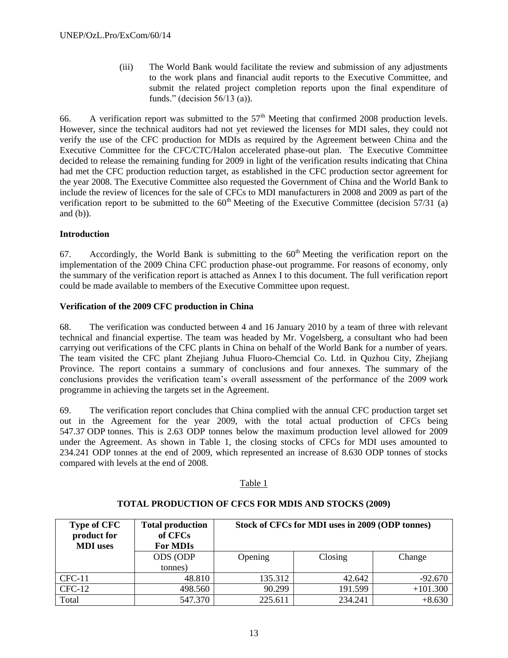(iii) The World Bank would facilitate the review and submission of any adjustments to the work plans and financial audit reports to the Executive Committee, and submit the related project completion reports upon the final expenditure of funds." (decision 56/13 (a)).

66. A verification report was submitted to the  $57<sup>th</sup>$  Meeting that confirmed 2008 production levels. However, since the technical auditors had not yet reviewed the licenses for MDI sales, they could not verify the use of the CFC production for MDIs as required by the Agreement between China and the Executive Committee for the CFC/CTC/Halon accelerated phase-out plan. The Executive Committee decided to release the remaining funding for 2009 in light of the verification results indicating that China had met the CFC production reduction target, as established in the CFC production sector agreement for the year 2008. The Executive Committee also requested the Government of China and the World Bank to include the review of licences for the sale of CFCs to MDI manufacturers in 2008 and 2009 as part of the verification report to be submitted to the  $60<sup>th</sup>$  Meeting of the Executive Committee (decision 57/31 (a) and (b)).

# **Introduction**

67. Accordingly, the World Bank is submitting to the  $60<sup>th</sup>$  Meeting the verification report on the implementation of the 2009 China CFC production phase-out programme. For reasons of economy, only the summary of the verification report is attached as Annex I to this document. The full verification report could be made available to members of the Executive Committee upon request.

# **Verification of the 2009 CFC production in China**

68. The verification was conducted between 4 and 16 January 2010 by a team of three with relevant technical and financial expertise. The team was headed by Mr. Vogelsberg, a consultant who had been carrying out verifications of the CFC plants in China on behalf of the World Bank for a number of years. The team visited the CFC plant Zhejiang Juhua Fluoro-Chemcial Co. Ltd. in Quzhou City, Zhejiang Province. The report contains a summary of conclusions and four annexes. The summary of the conclusions provides the verification team's overall assessment of the performance of the 2009 work programme in achieving the targets set in the Agreement.

69. The verification report concludes that China complied with the annual CFC production target set out in the Agreement for the year 2009, with the total actual production of CFCs being 547.37 ODP tonnes. This is 2.63 ODP tonnes below the maximum production level allowed for 2009 under the Agreement. As shown in Table 1, the closing stocks of CFCs for MDI uses amounted to 234.241 ODP tonnes at the end of 2009, which represented an increase of 8.630 ODP tonnes of stocks compared with levels at the end of 2008.

#### Table 1

| <b>Type of CFC</b><br>product for<br><b>MDI</b> uses | <b>Total production</b><br>of CFCs<br><b>For MDIs</b> | Stock of CFCs for MDI uses in 2009 (ODP tonnes) |         |            |  |  |
|------------------------------------------------------|-------------------------------------------------------|-------------------------------------------------|---------|------------|--|--|
|                                                      | <b>ODS (ODP)</b><br>tonnes)                           | Closing<br>Opening                              |         | Change     |  |  |
|                                                      |                                                       |                                                 |         |            |  |  |
| $CFC-11$                                             | 48.810                                                | 135.312                                         | 42.642  | $-92.670$  |  |  |
| $CFC-12$                                             | 498.560                                               | 90.299                                          | 191.599 | $+101.300$ |  |  |
| Total                                                | 547.370                                               | 225.611                                         | 234.241 | $+8.630$   |  |  |

#### **TOTAL PRODUCTION OF CFCS FOR MDIS AND STOCKS (2009)**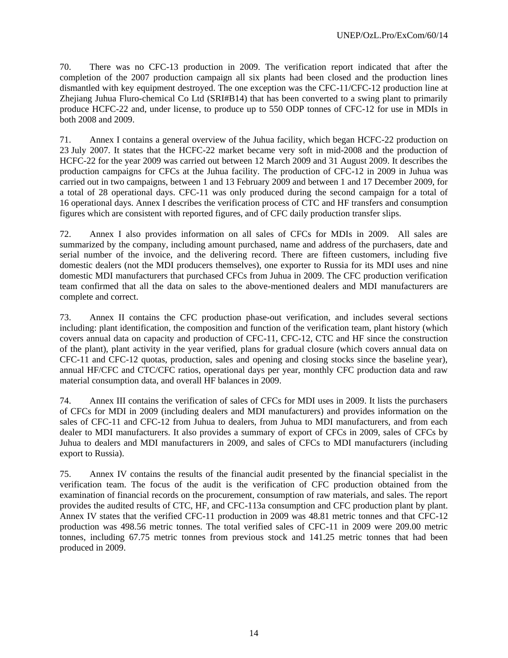70. There was no CFC-13 production in 2009. The verification report indicated that after the completion of the 2007 production campaign all six plants had been closed and the production lines dismantled with key equipment destroyed. The one exception was the CFC-11/CFC-12 production line at Zhejiang Juhua Fluro-chemical Co Ltd (SRI#B14) that has been converted to a swing plant to primarily produce HCFC-22 and, under license, to produce up to 550 ODP tonnes of CFC-12 for use in MDIs in both 2008 and 2009.

71. Annex I contains a general overview of the Juhua facility, which began HCFC-22 production on 23 July 2007. It states that the HCFC-22 market became very soft in mid-2008 and the production of HCFC-22 for the year 2009 was carried out between 12 March 2009 and 31 August 2009. It describes the production campaigns for CFCs at the Juhua facility. The production of CFC-12 in 2009 in Juhua was carried out in two campaigns, between 1 and 13 February 2009 and between 1 and 17 December 2009, for a total of 28 operational days. CFC-11 was only produced during the second campaign for a total of 16 operational days. Annex I describes the verification process of CTC and HF transfers and consumption figures which are consistent with reported figures, and of CFC daily production transfer slips.

72. Annex I also provides information on all sales of CFCs for MDIs in 2009. All sales are summarized by the company, including amount purchased, name and address of the purchasers, date and serial number of the invoice, and the delivering record. There are fifteen customers, including five domestic dealers (not the MDI producers themselves), one exporter to Russia for its MDI uses and nine domestic MDI manufacturers that purchased CFCs from Juhua in 2009. The CFC production verification team confirmed that all the data on sales to the above-mentioned dealers and MDI manufacturers are complete and correct.

73. Annex II contains the CFC production phase-out verification, and includes several sections including: plant identification, the composition and function of the verification team, plant history (which covers annual data on capacity and production of CFC-11, CFC-12, CTC and HF since the construction of the plant), plant activity in the year verified, plans for gradual closure (which covers annual data on CFC-11 and CFC-12 quotas, production, sales and opening and closing stocks since the baseline year), annual HF/CFC and CTC/CFC ratios, operational days per year, monthly CFC production data and raw material consumption data, and overall HF balances in 2009.

74. Annex III contains the verification of sales of CFCs for MDI uses in 2009. It lists the purchasers of CFCs for MDI in 2009 (including dealers and MDI manufacturers) and provides information on the sales of CFC-11 and CFC-12 from Juhua to dealers, from Juhua to MDI manufacturers, and from each dealer to MDI manufacturers. It also provides a summary of export of CFCs in 2009, sales of CFCs by Juhua to dealers and MDI manufacturers in 2009, and sales of CFCs to MDI manufacturers (including export to Russia).

75. Annex IV contains the results of the financial audit presented by the financial specialist in the verification team. The focus of the audit is the verification of CFC production obtained from the examination of financial records on the procurement, consumption of raw materials, and sales. The report provides the audited results of CTC, HF, and CFC-113a consumption and CFC production plant by plant. Annex IV states that the verified CFC-11 production in 2009 was 48.81 metric tonnes and that CFC-12 production was 498.56 metric tonnes. The total verified sales of CFC-11 in 2009 were 209.00 metric tonnes, including 67.75 metric tonnes from previous stock and 141.25 metric tonnes that had been produced in 2009.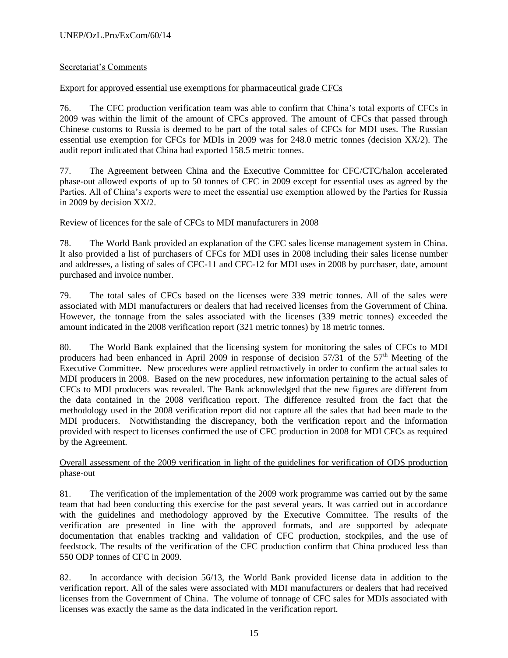# Secretariat's Comments

# Export for approved essential use exemptions for pharmaceutical grade CFCs

76. The CFC production verification team was able to confirm that China's total exports of CFCs in 2009 was within the limit of the amount of CFCs approved. The amount of CFCs that passed through Chinese customs to Russia is deemed to be part of the total sales of CFCs for MDI uses. The Russian essential use exemption for CFCs for MDIs in 2009 was for 248.0 metric tonnes (decision XX/2). The audit report indicated that China had exported 158.5 metric tonnes.

77. The Agreement between China and the Executive Committee for CFC/CTC/halon accelerated phase-out allowed exports of up to 50 tonnes of CFC in 2009 except for essential uses as agreed by the Parties. All of China's exports were to meet the essential use exemption allowed by the Parties for Russia in 2009 by decision XX/2.

#### Review of licences for the sale of CFCs to MDI manufacturers in 2008

78. The World Bank provided an explanation of the CFC sales license management system in China. It also provided a list of purchasers of CFCs for MDI uses in 2008 including their sales license number and addresses, a listing of sales of CFC-11 and CFC-12 for MDI uses in 2008 by purchaser, date, amount purchased and invoice number.

79. The total sales of CFCs based on the licenses were 339 metric tonnes. All of the sales were associated with MDI manufacturers or dealers that had received licenses from the Government of China. However, the tonnage from the sales associated with the licenses (339 metric tonnes) exceeded the amount indicated in the 2008 verification report (321 metric tonnes) by 18 metric tonnes.

80. The World Bank explained that the licensing system for monitoring the sales of CFCs to MDI producers had been enhanced in April 2009 in response of decision  $57/31$  of the  $57<sup>th</sup>$  Meeting of the Executive Committee. New procedures were applied retroactively in order to confirm the actual sales to MDI producers in 2008. Based on the new procedures, new information pertaining to the actual sales of CFCs to MDI producers was revealed. The Bank acknowledged that the new figures are different from the data contained in the 2008 verification report. The difference resulted from the fact that the methodology used in the 2008 verification report did not capture all the sales that had been made to the MDI producers. Notwithstanding the discrepancy, both the verification report and the information provided with respect to licenses confirmed the use of CFC production in 2008 for MDI CFCs as required by the Agreement.

#### Overall assessment of the 2009 verification in light of the guidelines for verification of ODS production phase-out

81. The verification of the implementation of the 2009 work programme was carried out by the same team that had been conducting this exercise for the past several years. It was carried out in accordance with the guidelines and methodology approved by the Executive Committee. The results of the verification are presented in line with the approved formats, and are supported by adequate documentation that enables tracking and validation of CFC production, stockpiles, and the use of feedstock. The results of the verification of the CFC production confirm that China produced less than 550 ODP tonnes of CFC in 2009.

82. In accordance with decision 56/13, the World Bank provided license data in addition to the verification report. All of the sales were associated with MDI manufacturers or dealers that had received licenses from the Government of China. The volume of tonnage of CFC sales for MDIs associated with licenses was exactly the same as the data indicated in the verification report.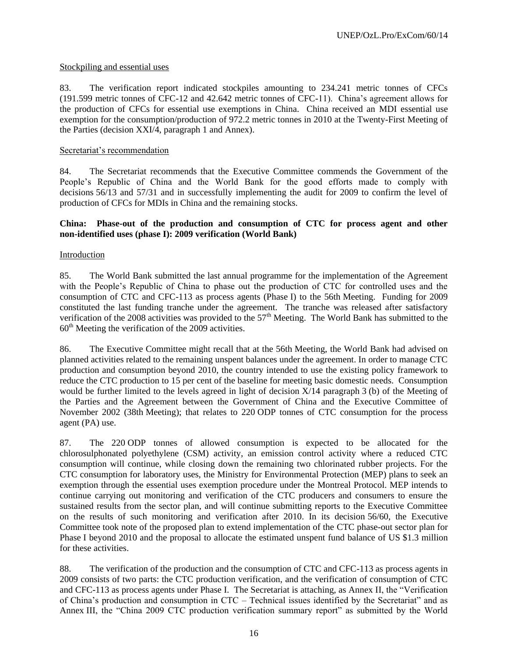## Stockpiling and essential uses

83. The verification report indicated stockpiles amounting to 234.241 metric tonnes of CFCs (191.599 metric tonnes of CFC-12 and 42.642 metric tonnes of CFC-11). China's agreement allows for the production of CFCs for essential use exemptions in China. China received an MDI essential use exemption for the consumption/production of 972.2 metric tonnes in 2010 at the Twenty-First Meeting of the Parties (decision XXI/4, paragraph 1 and Annex).

## Secretariat's recommendation

84. The Secretariat recommends that the Executive Committee commends the Government of the People's Republic of China and the World Bank for the good efforts made to comply with decisions 56/13 and 57/31 and in successfully implementing the audit for 2009 to confirm the level of production of CFCs for MDIs in China and the remaining stocks.

# **China: Phase-out of the production and consumption of CTC for process agent and other non-identified uses (phase I): 2009 verification (World Bank)**

#### Introduction

85. The World Bank submitted the last annual programme for the implementation of the Agreement with the People's Republic of China to phase out the production of CTC for controlled uses and the consumption of CTC and CFC-113 as process agents (Phase I) to the 56th Meeting. Funding for 2009 constituted the last funding tranche under the agreement. The tranche was released after satisfactory verification of the 2008 activities was provided to the 57<sup>th</sup> Meeting. The World Bank has submitted to the  $60<sup>th</sup>$  Meeting the verification of the 2009 activities.

86. The Executive Committee might recall that at the 56th Meeting, the World Bank had advised on planned activities related to the remaining unspent balances under the agreement. In order to manage CTC production and consumption beyond 2010, the country intended to use the existing policy framework to reduce the CTC production to 15 per cent of the baseline for meeting basic domestic needs. Consumption would be further limited to the levels agreed in light of decision X/14 paragraph 3 (b) of the Meeting of the Parties and the Agreement between the Government of China and the Executive Committee of November 2002 (38th Meeting); that relates to 220 ODP tonnes of CTC consumption for the process agent (PA) use.

87. The 220 ODP tonnes of allowed consumption is expected to be allocated for the chlorosulphonated polyethylene (CSM) activity, an emission control activity where a reduced CTC consumption will continue, while closing down the remaining two chlorinated rubber projects. For the CTC consumption for laboratory uses, the Ministry for Environmental Protection (MEP) plans to seek an exemption through the essential uses exemption procedure under the Montreal Protocol. MEP intends to continue carrying out monitoring and verification of the CTC producers and consumers to ensure the sustained results from the sector plan, and will continue submitting reports to the Executive Committee on the results of such monitoring and verification after 2010. In its decision 56/60, the Executive Committee took note of the proposed plan to extend implementation of the CTC phase-out sector plan for Phase I beyond 2010 and the proposal to allocate the estimated unspent fund balance of US \$1.3 million for these activities.

88. The verification of the production and the consumption of CTC and CFC-113 as process agents in 2009 consists of two parts: the CTC production verification, and the verification of consumption of CTC and CFC-113 as process agents under Phase I. The Secretariat is attaching, as Annex II, the "Verification of China's production and consumption in CTC – Technical issues identified by the Secretariat" and as Annex III, the "China 2009 CTC production verification summary report" as submitted by the World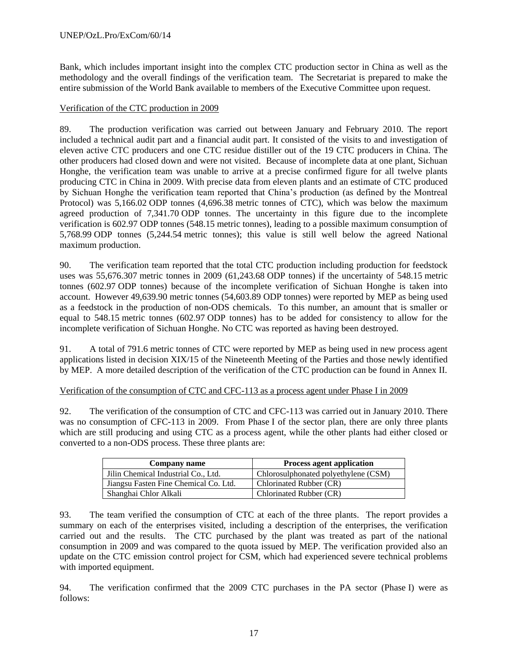Bank, which includes important insight into the complex CTC production sector in China as well as the methodology and the overall findings of the verification team. The Secretariat is prepared to make the entire submission of the World Bank available to members of the Executive Committee upon request.

## Verification of the CTC production in 2009

89. The production verification was carried out between January and February 2010. The report included a technical audit part and a financial audit part. It consisted of the visits to and investigation of eleven active CTC producers and one CTC residue distiller out of the 19 CTC producers in China. The other producers had closed down and were not visited. Because of incomplete data at one plant, Sichuan Honghe, the verification team was unable to arrive at a precise confirmed figure for all twelve plants producing CTC in China in 2009. With precise data from eleven plants and an estimate of CTC produced by Sichuan Honghe the verification team reported that China's production (as defined by the Montreal Protocol) was 5,166.02 ODP tonnes (4,696.38 metric tonnes of CTC), which was below the maximum agreed production of 7,341.70 ODP tonnes. The uncertainty in this figure due to the incomplete verification is 602.97 ODP tonnes (548.15 metric tonnes), leading to a possible maximum consumption of 5,768.99 ODP tonnes (5,244.54 metric tonnes); this value is still well below the agreed National maximum production.

90. The verification team reported that the total CTC production including production for feedstock uses was 55,676.307 metric tonnes in 2009 (61,243.68 ODP tonnes) if the uncertainty of 548.15 metric tonnes (602.97 ODP tonnes) because of the incomplete verification of Sichuan Honghe is taken into account. However 49,639.90 metric tonnes (54,603.89 ODP tonnes) were reported by MEP as being used as a feedstock in the production of non-ODS chemicals. To this number, an amount that is smaller or equal to 548.15 metric tonnes (602.97 ODP tonnes) has to be added for consistency to allow for the incomplete verification of Sichuan Honghe. No CTC was reported as having been destroyed.

91. A total of 791.6 metric tonnes of CTC were reported by MEP as being used in new process agent applications listed in decision XIX/15 of the Nineteenth Meeting of the Parties and those newly identified by MEP. A more detailed description of the verification of the CTC production can be found in Annex II.

#### Verification of the consumption of CTC and CFC-113 as a process agent under Phase I in 2009

92. The verification of the consumption of CTC and CFC-113 was carried out in January 2010. There was no consumption of CFC-113 in 2009. From Phase I of the sector plan, there are only three plants which are still producing and using CTC as a process agent, while the other plants had either closed or converted to a non-ODS process. These three plants are:

| Company name                          | <b>Process agent application</b>     |
|---------------------------------------|--------------------------------------|
| Jilin Chemical Industrial Co., Ltd.   | Chlorosulphonated polyethylene (CSM) |
| Jiangsu Fasten Fine Chemical Co. Ltd. | Chlorinated Rubber (CR)              |
| Shanghai Chlor Alkali                 | Chlorinated Rubber (CR)              |

93. The team verified the consumption of CTC at each of the three plants. The report provides a summary on each of the enterprises visited, including a description of the enterprises, the verification carried out and the results. The CTC purchased by the plant was treated as part of the national consumption in 2009 and was compared to the quota issued by MEP. The verification provided also an update on the CTC emission control project for CSM, which had experienced severe technical problems with imported equipment.

94. The verification confirmed that the 2009 CTC purchases in the PA sector (Phase I) were as follows: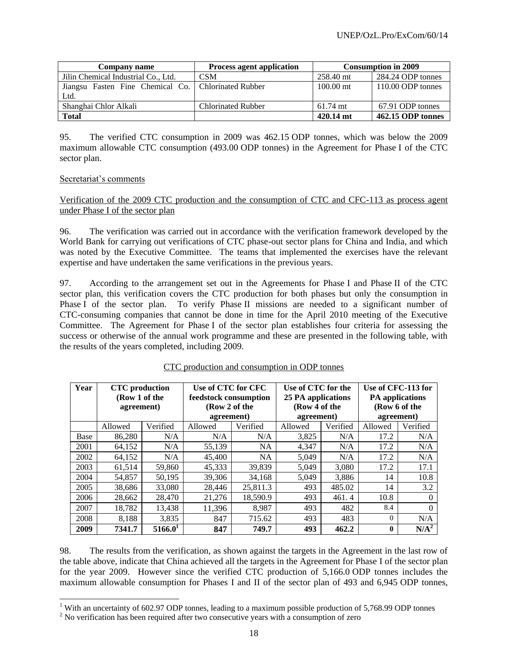| Company name                                          | <b>Process agent application</b> | <b>Consumption in 2009</b> |                   |
|-------------------------------------------------------|----------------------------------|----------------------------|-------------------|
| Jilin Chemical Industrial Co., Ltd.                   | <b>CSM</b>                       | 258.40 mt                  | 284.24 ODP tonnes |
| Jiangsu Fasten Fine Chemical Co.   Chlorinated Rubber |                                  | $100.00$ mt                | 110.00 ODP tonnes |
| Ltd.                                                  |                                  |                            |                   |
| Shanghai Chlor Alkali                                 | <b>Chlorinated Rubber</b>        | $61.74$ mt                 | 67.91 ODP tonnes  |
| <b>Total</b>                                          |                                  | 420.14 mt                  | 462.15 ODP tonnes |

95. The verified CTC consumption in 2009 was 462.15 ODP tonnes, which was below the 2009 maximum allowable CTC consumption (493.00 ODP tonnes) in the Agreement for Phase I of the CTC sector plan.

#### Secretariat's comments

Verification of the 2009 CTC production and the consumption of CTC and CFC-113 as process agent under Phase I of the sector plan

96. The verification was carried out in accordance with the verification framework developed by the World Bank for carrying out verifications of CTC phase-out sector plans for China and India, and which was noted by the Executive Committee. The teams that implemented the exercises have the relevant expertise and have undertaken the same verifications in the previous years.

97. According to the arrangement set out in the Agreements for Phase I and Phase II of the CTC sector plan, this verification covers the CTC production for both phases but only the consumption in Phase I of the sector plan. To verify Phase II missions are needed to a significant number of CTC-consuming companies that cannot be done in time for the April 2010 meeting of the Executive Committee. The Agreement for Phase I of the sector plan establishes four criteria for assessing the success or otherwise of the annual work programme and these are presented in the following table, with the results of the years completed, including 2009.

| Year | <b>CTC</b> production<br>(Row 1 of the<br>agreement) |                     | Use of CTC for CFC<br>feedstock consumption<br>(Row 2 of the<br>agreement) |           | Use of CTC for the<br>25 PA applications<br>(Row 4 of the<br>agreement) |          | Use of CFC-113 for<br><b>PA</b> applications<br>(Row 6 of the<br>agreement) |                  |
|------|------------------------------------------------------|---------------------|----------------------------------------------------------------------------|-----------|-------------------------------------------------------------------------|----------|-----------------------------------------------------------------------------|------------------|
|      | Allowed                                              | Verified            | Allowed                                                                    | Verified  | Allowed                                                                 | Verified | Allowed                                                                     | Verified         |
| Base | 86,280                                               | N/A                 | N/A                                                                        | N/A       | 3.825                                                                   | N/A      | 17.2                                                                        | N/A              |
| 2001 | 64,152                                               | N/A                 | 55,139                                                                     | <b>NA</b> | 4.347                                                                   | N/A      | 17.2                                                                        | N/A              |
| 2002 | 64,152                                               | N/A                 | 45,400                                                                     | <b>NA</b> | 5,049                                                                   | N/A      | 17.2                                                                        | N/A              |
| 2003 | 61,514                                               | 59,860              | 45.333                                                                     | 39,839    | 5.049                                                                   | 3,080    | 17.2                                                                        | 17.1             |
| 2004 | 54,857                                               | 50,195              | 39,306                                                                     | 34,168    | 5,049                                                                   | 3,886    | 14                                                                          | 10.8             |
| 2005 | 38,686                                               | 33,080              | 28,446                                                                     | 25,811.3  | 493                                                                     | 485.02   | 14                                                                          | 3.2              |
| 2006 | 28,662                                               | 28,470              | 21,276                                                                     | 18,590.9  | 493                                                                     | 461.4    | 10.8                                                                        | 0                |
| 2007 | 18,782                                               | 13,438              | 11,396                                                                     | 8,987     | 493                                                                     | 482      | 8.4                                                                         | $\Omega$         |
| 2008 | 8,188                                                | 3,835               | 847                                                                        | 715.62    | 493                                                                     | 483      | $\Omega$                                                                    | N/A              |
| 2009 | 7341.7                                               | 5166.0 <sup>1</sup> | 847                                                                        | 749.7     | 493                                                                     | 462.2    | $\bf{0}$                                                                    | N/A <sup>2</sup> |

#### CTC production and consumption in ODP tonnes

98. The results from the verification, as shown against the targets in the Agreement in the last row of the table above, indicate that China achieved all the targets in the Agreement for Phase I of the sector plan for the year 2009. However since the verified CTC production of 5,166.0 ODP tonnes includes the maximum allowable consumption for Phases I and II of the sector plan of 493 and 6,945 ODP tonnes,

l <sup>1</sup> With an uncertainty of 602.97 ODP tonnes, leading to a maximum possible production of 5,768.99 ODP tonnes

<sup>&</sup>lt;sup>2</sup> No verification has been required after two consecutive years with a consumption of zero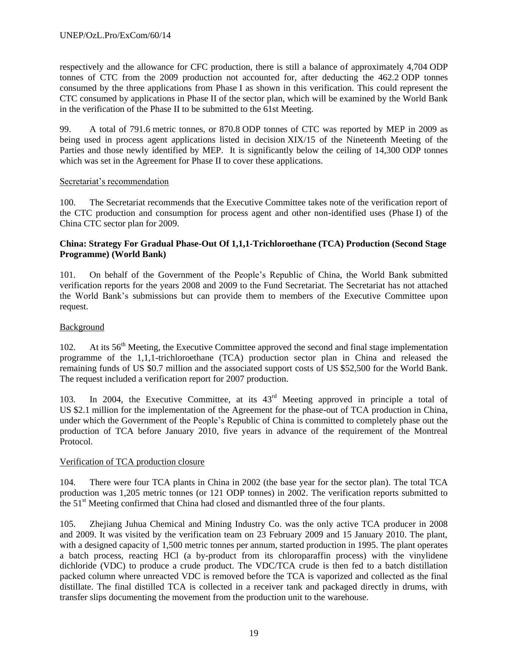respectively and the allowance for CFC production, there is still a balance of approximately 4,704 ODP tonnes of CTC from the 2009 production not accounted for, after deducting the 462.2 ODP tonnes consumed by the three applications from Phase I as shown in this verification. This could represent the CTC consumed by applications in Phase II of the sector plan, which will be examined by the World Bank in the verification of the Phase II to be submitted to the 61st Meeting.

99. A total of 791.6 metric tonnes, or 870.8 ODP tonnes of CTC was reported by MEP in 2009 as being used in process agent applications listed in decision XIX/15 of the Nineteenth Meeting of the Parties and those newly identified by MEP. It is significantly below the ceiling of 14,300 ODP tonnes which was set in the Agreement for Phase II to cover these applications.

#### Secretariat's recommendation

100. The Secretariat recommends that the Executive Committee takes note of the verification report of the CTC production and consumption for process agent and other non-identified uses (Phase I) of the China CTC sector plan for 2009.

#### **China: Strategy For Gradual Phase-Out Of 1,1,1-Trichloroethane (TCA) Production (Second Stage Programme) (World Bank)**

101. On behalf of the Government of the People's Republic of China, the World Bank submitted verification reports for the years 2008 and 2009 to the Fund Secretariat. The Secretariat has not attached the World Bank's submissions but can provide them to members of the Executive Committee upon request.

## Background

102. At its 56<sup>th</sup> Meeting, the Executive Committee approved the second and final stage implementation programme of the 1,1,1-trichloroethane (TCA) production sector plan in China and released the remaining funds of US \$0.7 million and the associated support costs of US \$52,500 for the World Bank. The request included a verification report for 2007 production.

103. In 2004, the Executive Committee, at its  $43<sup>rd</sup>$  Meeting approved in principle a total of US \$2.1 million for the implementation of the Agreement for the phase-out of TCA production in China, under which the Government of the People's Republic of China is committed to completely phase out the production of TCA before January 2010, five years in advance of the requirement of the Montreal Protocol.

#### Verification of TCA production closure

104. There were four TCA plants in China in 2002 (the base year for the sector plan). The total TCA production was 1,205 metric tonnes (or 121 ODP tonnes) in 2002. The verification reports submitted to the 51<sup>st</sup> Meeting confirmed that China had closed and dismantled three of the four plants.

105. Zhejiang Juhua Chemical and Mining Industry Co. was the only active TCA producer in 2008 and 2009. It was visited by the verification team on 23 February 2009 and 15 January 2010. The plant, with a designed capacity of 1,500 metric tonnes per annum, started production in 1995. The plant operates a batch process, reacting HCl (a by-product from its chloroparaffin process) with the vinylidene dichloride (VDC) to produce a crude product. The VDC/TCA crude is then fed to a batch distillation packed column where unreacted VDC is removed before the TCA is vaporized and collected as the final distillate. The final distilled TCA is collected in a receiver tank and packaged directly in drums, with transfer slips documenting the movement from the production unit to the warehouse.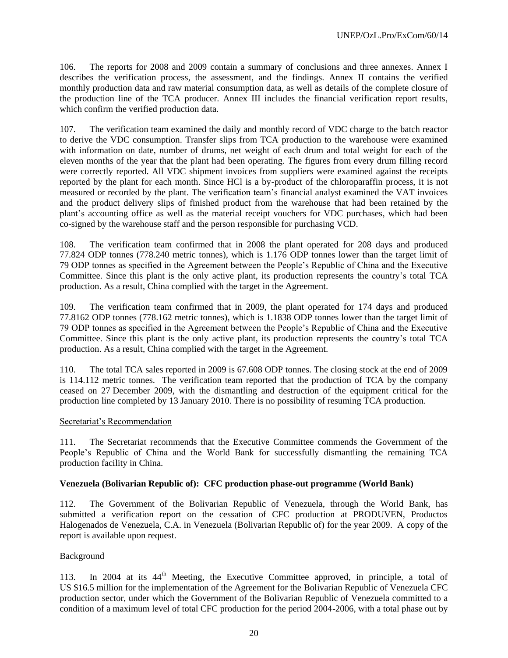106. The reports for 2008 and 2009 contain a summary of conclusions and three annexes. Annex I describes the verification process, the assessment, and the findings. Annex II contains the verified monthly production data and raw material consumption data, as well as details of the complete closure of the production line of the TCA producer. Annex III includes the financial verification report results, which confirm the verified production data.

107. The verification team examined the daily and monthly record of VDC charge to the batch reactor to derive the VDC consumption. Transfer slips from TCA production to the warehouse were examined with information on date, number of drums, net weight of each drum and total weight for each of the eleven months of the year that the plant had been operating. The figures from every drum filling record were correctly reported. All VDC shipment invoices from suppliers were examined against the receipts reported by the plant for each month. Since HCl is a by-product of the chloroparaffin process, it is not measured or recorded by the plant. The verification team's financial analyst examined the VAT invoices and the product delivery slips of finished product from the warehouse that had been retained by the plant's accounting office as well as the material receipt vouchers for VDC purchases, which had been co-signed by the warehouse staff and the person responsible for purchasing VCD.

108. The verification team confirmed that in 2008 the plant operated for 208 days and produced 77.824 ODP tonnes (778.240 metric tonnes), which is 1.176 ODP tonnes lower than the target limit of 79 ODP tonnes as specified in the Agreement between the People's Republic of China and the Executive Committee. Since this plant is the only active plant, its production represents the country's total TCA production. As a result, China complied with the target in the Agreement.

109. The verification team confirmed that in 2009, the plant operated for 174 days and produced 77.8162 ODP tonnes (778.162 metric tonnes), which is 1.1838 ODP tonnes lower than the target limit of 79 ODP tonnes as specified in the Agreement between the People's Republic of China and the Executive Committee. Since this plant is the only active plant, its production represents the country's total TCA production. As a result, China complied with the target in the Agreement.

110. The total TCA sales reported in 2009 is 67.608 ODP tonnes. The closing stock at the end of 2009 is 114.112 metric tonnes. The verification team reported that the production of TCA by the company ceased on 27 December 2009, with the dismantling and destruction of the equipment critical for the production line completed by 13 January 2010. There is no possibility of resuming TCA production.

#### Secretariat's Recommendation

111. The Secretariat recommends that the Executive Committee commends the Government of the People's Republic of China and the World Bank for successfully dismantling the remaining TCA production facility in China.

#### **Venezuela (Bolivarian Republic of): CFC production phase-out programme (World Bank)**

112. The Government of the Bolivarian Republic of Venezuela, through the World Bank, has submitted a verification report on the cessation of CFC production at PRODUVEN, Productos Halogenados de Venezuela, C.A. in Venezuela (Bolivarian Republic of) for the year 2009. A copy of the report is available upon request.

#### Background

113. In 2004 at its  $44<sup>th</sup>$  Meeting, the Executive Committee approved, in principle, a total of US \$16.5 million for the implementation of the Agreement for the Bolivarian Republic of Venezuela CFC production sector, under which the Government of the Bolivarian Republic of Venezuela committed to a condition of a maximum level of total CFC production for the period 2004-2006, with a total phase out by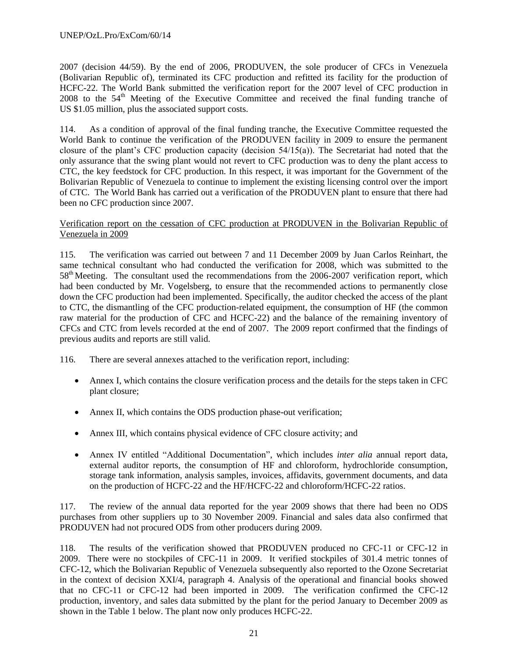2007 (decision 44/59). By the end of 2006, PRODUVEN, the sole producer of CFCs in Venezuela (Bolivarian Republic of), terminated its CFC production and refitted its facility for the production of HCFC-22. The World Bank submitted the verification report for the 2007 level of CFC production in 2008 to the 54<sup>th</sup> Meeting of the Executive Committee and received the final funding tranche of US \$1.05 million, plus the associated support costs.

114. As a condition of approval of the final funding tranche, the Executive Committee requested the World Bank to continue the verification of the PRODUVEN facility in 2009 to ensure the permanent closure of the plant's CFC production capacity (decision 54/15(a)). The Secretariat had noted that the only assurance that the swing plant would not revert to CFC production was to deny the plant access to CTC, the key feedstock for CFC production. In this respect, it was important for the Government of the Bolivarian Republic of Venezuela to continue to implement the existing licensing control over the import of CTC. The World Bank has carried out a verification of the PRODUVEN plant to ensure that there had been no CFC production since 2007.

#### Verification report on the cessation of CFC production at PRODUVEN in the Bolivarian Republic of Venezuela in 2009

115. The verification was carried out between 7 and 11 December 2009 by Juan Carlos Reinhart, the same technical consultant who had conducted the verification for 2008, which was submitted to the 58<sup>th</sup> Meeting. The consultant used the recommendations from the 2006-2007 verification report, which had been conducted by Mr. Vogelsberg, to ensure that the recommended actions to permanently close down the CFC production had been implemented. Specifically, the auditor checked the access of the plant to CTC, the dismantling of the CFC production-related equipment, the consumption of HF (the common raw material for the production of CFC and HCFC-22) and the balance of the remaining inventory of CFCs and CTC from levels recorded at the end of 2007. The 2009 report confirmed that the findings of previous audits and reports are still valid.

116. There are several annexes attached to the verification report, including:

- Annex I, which contains the closure verification process and the details for the steps taken in CFC plant closure;
- Annex II, which contains the ODS production phase-out verification;
- Annex III, which contains physical evidence of CFC closure activity; and
- Annex IV entitled "Additional Documentation", which includes *inter alia* annual report data, external auditor reports, the consumption of HF and chloroform, hydrochloride consumption, storage tank information, analysis samples, invoices, affidavits, government documents, and data on the production of HCFC-22 and the HF/HCFC-22 and chloroform/HCFC-22 ratios.

117. The review of the annual data reported for the year 2009 shows that there had been no ODS purchases from other suppliers up to 30 November 2009. Financial and sales data also confirmed that PRODUVEN had not procured ODS from other producers during 2009.

118. The results of the verification showed that PRODUVEN produced no CFC-11 or CFC-12 in 2009. There were no stockpiles of CFC-11 in 2009. It verified stockpiles of 301.4 metric tonnes of CFC-12, which the Bolivarian Republic of Venezuela subsequently also reported to the Ozone Secretariat in the context of decision XXI/4, paragraph 4. Analysis of the operational and financial books showed that no CFC-11 or CFC-12 had been imported in 2009. The verification confirmed the CFC-12 production, inventory, and sales data submitted by the plant for the period January to December 2009 as shown in the Table 1 below. The plant now only produces HCFC-22.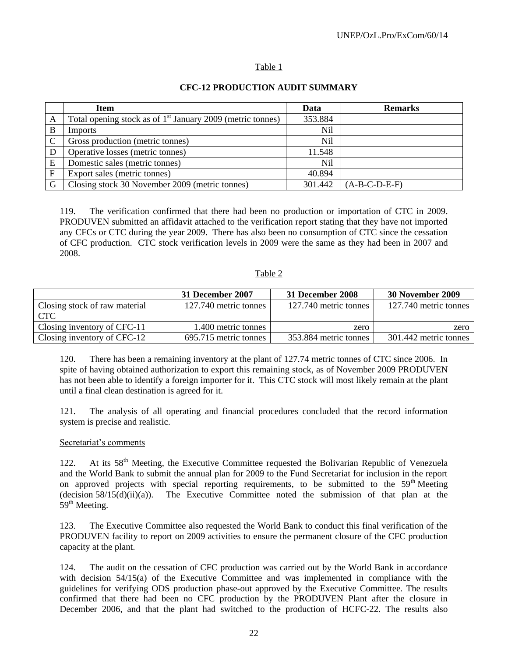#### Table 1

|              | <b>Item</b>                                                  | Data    | <b>Remarks</b>  |
|--------------|--------------------------------------------------------------|---------|-----------------|
| A            | Total opening stock as of $1st$ January 2009 (metric tonnes) | 353.884 |                 |
| B            | Imports                                                      | Nil     |                 |
| $\mathbf C$  | Gross production (metric tonnes)                             | Nil     |                 |
| D            | Operative losses (metric tonnes)                             | 11.548  |                 |
| E            | Domestic sales (metric tonnes)                               | Nil     |                 |
| $\mathbf{F}$ | Export sales (metric tonnes)                                 | 40.894  |                 |
| G            | Closing stock 30 November 2009 (metric tonnes)               | 301.442 | $(A-B-C-D-E-F)$ |

#### **CFC-12 PRODUCTION AUDIT SUMMARY**

119. The verification confirmed that there had been no production or importation of CTC in 2009. PRODUVEN submitted an affidavit attached to the verification report stating that they have not imported any CFCs or CTC during the year 2009. There has also been no consumption of CTC since the cessation of CFC production. CTC stock verification levels in 2009 were the same as they had been in 2007 and 2008.

#### Table 2

|                                      | 31 December 2007      | 31 December 2008      | 30 November 2009      |
|--------------------------------------|-----------------------|-----------------------|-----------------------|
| Closing stock of raw material<br>CTC | 127.740 metric tonnes | 127.740 metric tonnes | 127.740 metric tonnes |
| Closing inventory of CFC-11          | 1.400 metric tonnes   | zero                  | zero                  |
| Closing inventory of CFC-12          | 695.715 metric tonnes | 353.884 metric tonnes | 301.442 metric tonnes |

120. There has been a remaining inventory at the plant of 127.74 metric tonnes of CTC since 2006. In spite of having obtained authorization to export this remaining stock, as of November 2009 PRODUVEN has not been able to identify a foreign importer for it. This CTC stock will most likely remain at the plant until a final clean destination is agreed for it.

121. The analysis of all operating and financial procedures concluded that the record information system is precise and realistic.

#### Secretariat's comments

122. At its 58<sup>th</sup> Meeting, the Executive Committee requested the Bolivarian Republic of Venezuela and the World Bank to submit the annual plan for 2009 to the Fund Secretariat for inclusion in the report on approved projects with special reporting requirements, to be submitted to the 59<sup>th</sup> Meeting  $(decision 58/15(d)(ii)(a))$ . The Executive Committee noted the submission of that plan at the  $59<sup>th</sup>$  Meeting.

123. The Executive Committee also requested the World Bank to conduct this final verification of the PRODUVEN facility to report on 2009 activities to ensure the permanent closure of the CFC production capacity at the plant.

124. The audit on the cessation of CFC production was carried out by the World Bank in accordance with decision 54/15(a) of the Executive Committee and was implemented in compliance with the guidelines for verifying ODS production phase-out approved by the Executive Committee. The results confirmed that there had been no CFC production by the PRODUVEN Plant after the closure in December 2006, and that the plant had switched to the production of HCFC-22. The results also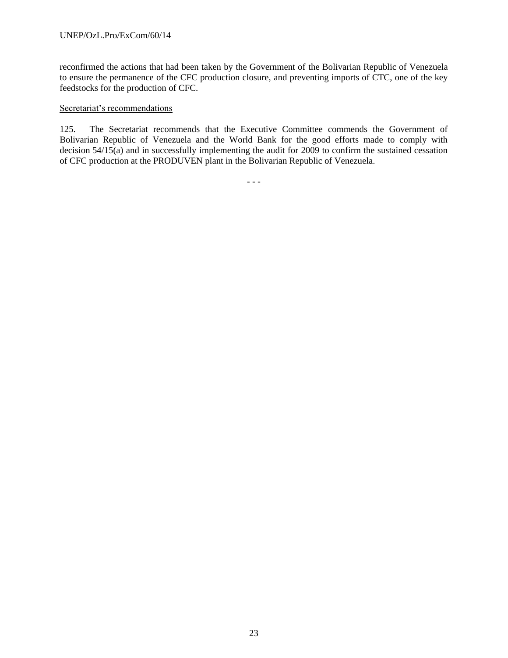reconfirmed the actions that had been taken by the Government of the Bolivarian Republic of Venezuela to ensure the permanence of the CFC production closure, and preventing imports of CTC, one of the key feedstocks for the production of CFC.

#### Secretariat's recommendations

125. The Secretariat recommends that the Executive Committee commends the Government of Bolivarian Republic of Venezuela and the World Bank for the good efforts made to comply with decision 54/15(a) and in successfully implementing the audit for 2009 to confirm the sustained cessation of CFC production at the PRODUVEN plant in the Bolivarian Republic of Venezuela.

- - -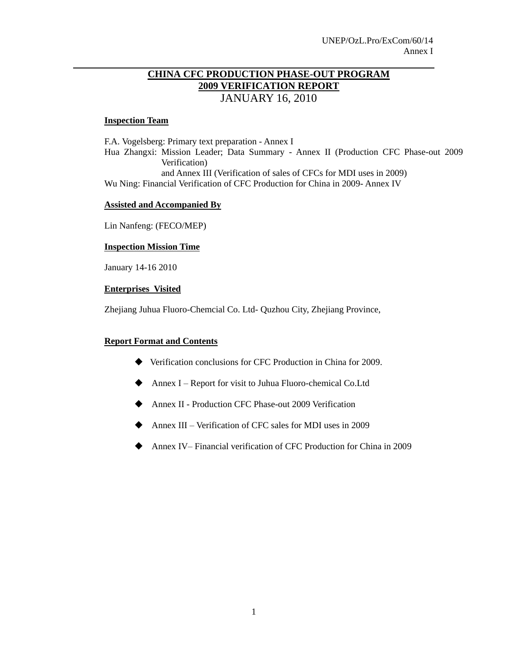# **CHINA CFC PRODUCTION PHASE-OUT PROGRAM 2009 VERIFICATION REPORT** JANUARY 16, 2010

#### **Inspection Team**

F.A. Vogelsberg: Primary text preparation - Annex I Hua Zhangxi: Mission Leader; Data Summary - Annex II (Production CFC Phase-out 2009 Verification) and Annex III (Verification of sales of CFCs for MDI uses in 2009) Wu Ning: Financial Verification of CFC Production for China in 2009- Annex IV

## **Assisted and Accompanied By**

Lin Nanfeng: (FECO/MEP)

#### **Inspection Mission Time**

January 14-16 2010

#### **Enterprises Visited**

Zhejiang Juhua Fluoro-Chemcial Co. Ltd- Quzhou City, Zhejiang Province,

# **Report Format and Contents**

- Verification conclusions for CFC Production in China for 2009.
- Annex I Report for visit to Juhua Fluoro-chemical Co.Ltd
- ◆ Annex II Production CFC Phase-out 2009 Verification
- Annex III Verification of CFC sales for MDI uses in 2009
- Annex IV– Financial verification of CFC Production for China in 2009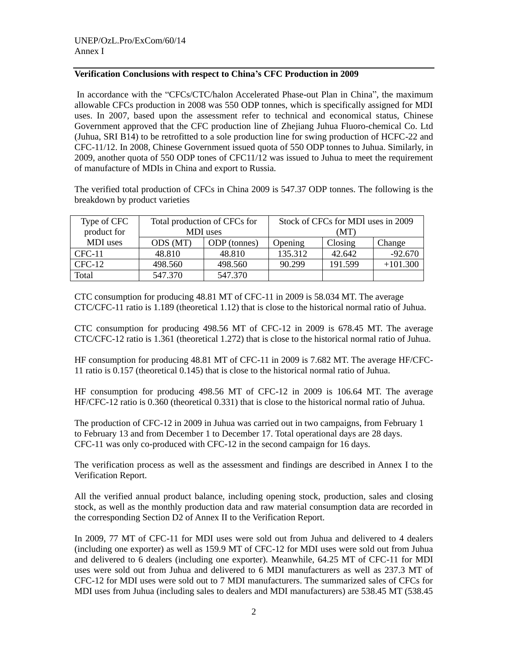# **Verification Conclusions with respect to China's CFC Production in 2009**

In accordance with the "CFCs/CTC/halon Accelerated Phase-out Plan in China", the maximum allowable CFCs production in 2008 was 550 ODP tonnes, which is specifically assigned for MDI uses. In 2007, based upon the assessment refer to technical and economical status, Chinese Government approved that the CFC production line of Zhejiang Juhua Fluoro-chemical Co. Ltd (Juhua, SRI B14) to be retrofitted to a sole production line for swing production of HCFC-22 and CFC-11/12. In 2008, Chinese Government issued quota of 550 ODP tonnes to Juhua. Similarly, in 2009, another quota of 550 ODP tones of CFC11/12 was issued to Juhua to meet the requirement of manufacture of MDIs in China and export to Russia.

The verified total production of CFCs in China 2009 is 547.37 ODP tonnes. The following is the breakdown by product varieties

| Type of CFC | Total production of CFCs for |              | Stock of CFCs for MDI uses in 2009 |         |            |
|-------------|------------------------------|--------------|------------------------------------|---------|------------|
| product for | MDI uses                     |              | (MT)                               |         |            |
| MDI uses    | ODS (MT)                     | ODP (tonnes) | Opening                            | Closing | Change     |
| CFC-11      | 48.810                       | 48.810       | 135.312                            | 42.642  | $-92.670$  |
| $CFC-12$    | 498.560                      | 498.560      | 90.299                             | 191.599 | $+101.300$ |
| Total       | 547.370                      | 547.370      |                                    |         |            |

CTC consumption for producing 48.81 MT of CFC-11 in 2009 is 58.034 MT. The average CTC/CFC-11 ratio is 1.189 (theoretical 1.12) that is close to the historical normal ratio of Juhua.

CTC consumption for producing 498.56 MT of CFC-12 in 2009 is 678.45 MT. The average CTC/CFC-12 ratio is 1.361 (theoretical 1.272) that is close to the historical normal ratio of Juhua.

HF consumption for producing 48.81 MT of CFC-11 in 2009 is 7.682 MT. The average HF/CFC-11 ratio is 0.157 (theoretical 0.145) that is close to the historical normal ratio of Juhua.

HF consumption for producing 498.56 MT of CFC-12 in 2009 is 106.64 MT. The average HF/CFC-12 ratio is 0.360 (theoretical 0.331) that is close to the historical normal ratio of Juhua.

The production of CFC-12 in 2009 in Juhua was carried out in two campaigns, from February 1 to February 13 and from December 1 to December 17. Total operational days are 28 days. CFC-11 was only co-produced with CFC-12 in the second campaign for 16 days.

The verification process as well as the assessment and findings are described in Annex I to the Verification Report.

All the verified annual product balance, including opening stock, production, sales and closing stock, as well as the monthly production data and raw material consumption data are recorded in the corresponding Section D2 of Annex II to the Verification Report.

In 2009, 77 MT of CFC-11 for MDI uses were sold out from Juhua and delivered to 4 dealers (including one exporter) as well as 159.9 MT of CFC-12 for MDI uses were sold out from Juhua and delivered to 6 dealers (including one exporter). Meanwhile, 64.25 MT of CFC-11 for MDI uses were sold out from Juhua and delivered to 6 MDI manufacturers as well as 237.3 MT of CFC-12 for MDI uses were sold out to 7 MDI manufacturers. The summarized sales of CFCs for MDI uses from Juhua (including sales to dealers and MDI manufacturers) are 538.45 MT (538.45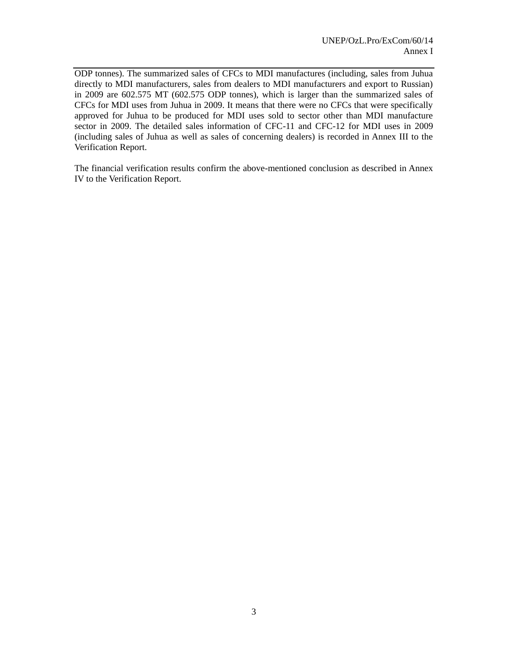ODP tonnes). The summarized sales of CFCs to MDI manufactures (including, sales from Juhua directly to MDI manufacturers, sales from dealers to MDI manufacturers and export to Russian) in 2009 are 602.575 MT (602.575 ODP tonnes), which is larger than the summarized sales of CFCs for MDI uses from Juhua in 2009. It means that there were no CFCs that were specifically approved for Juhua to be produced for MDI uses sold to sector other than MDI manufacture sector in 2009. The detailed sales information of CFC-11 and CFC-12 for MDI uses in 2009 (including sales of Juhua as well as sales of concerning dealers) is recorded in Annex III to the Verification Report.

The financial verification results confirm the above-mentioned conclusion as described in Annex IV to the Verification Report.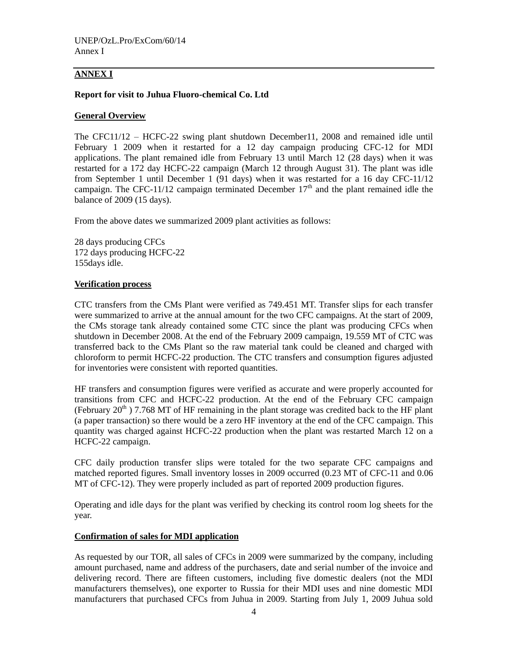# **ANNEX I**

## **Report for visit to Juhua Fluoro-chemical Co. Ltd**

## **General Overview**

The CFC11/12 – HCFC-22 swing plant shutdown December11, 2008 and remained idle until February 1 2009 when it restarted for a 12 day campaign producing CFC-12 for MDI applications. The plant remained idle from February 13 until March 12 (28 days) when it was restarted for a 172 day HCFC-22 campaign (March 12 through August 31). The plant was idle from September 1 until December 1 (91 days) when it was restarted for a 16 day CFC-11/12 campaign. The CFC-11/12 campaign terminated December  $17<sup>th</sup>$  and the plant remained idle the balance of 2009 (15 days).

From the above dates we summarized 2009 plant activities as follows:

28 days producing CFCs 172 days producing HCFC-22 155days idle.

#### **Verification process**

CTC transfers from the CMs Plant were verified as 749.451 MT. Transfer slips for each transfer were summarized to arrive at the annual amount for the two CFC campaigns. At the start of 2009, the CMs storage tank already contained some CTC since the plant was producing CFCs when shutdown in December 2008. At the end of the February 2009 campaign, 19.559 MT of CTC was transferred back to the CMs Plant so the raw material tank could be cleaned and charged with chloroform to permit HCFC-22 production. The CTC transfers and consumption figures adjusted for inventories were consistent with reported quantities.

HF transfers and consumption figures were verified as accurate and were properly accounted for transitions from CFC and HCFC-22 production. At the end of the February CFC campaign (February  $20<sup>th</sup>$ ) 7.768 MT of HF remaining in the plant storage was credited back to the HF plant (a paper transaction) so there would be a zero HF inventory at the end of the CFC campaign. This quantity was charged against HCFC-22 production when the plant was restarted March 12 on a HCFC-22 campaign.

CFC daily production transfer slips were totaled for the two separate CFC campaigns and matched reported figures. Small inventory losses in 2009 occurred (0.23 MT of CFC-11 and 0.06 MT of CFC-12). They were properly included as part of reported 2009 production figures.

Operating and idle days for the plant was verified by checking its control room log sheets for the year.

#### **Confirmation of sales for MDI application**

As requested by our TOR, all sales of CFCs in 2009 were summarized by the company, including amount purchased, name and address of the purchasers, date and serial number of the invoice and delivering record. There are fifteen customers, including five domestic dealers (not the MDI manufacturers themselves), one exporter to Russia for their MDI uses and nine domestic MDI manufacturers that purchased CFCs from Juhua in 2009. Starting from July 1, 2009 Juhua sold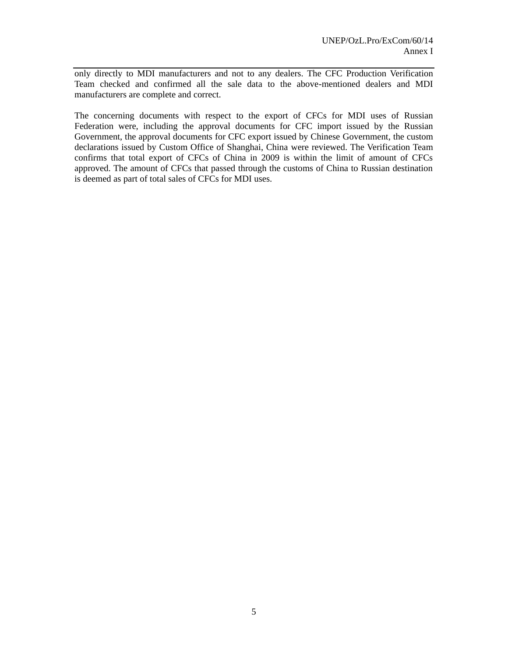only directly to MDI manufacturers and not to any dealers. The CFC Production Verification Team checked and confirmed all the sale data to the above-mentioned dealers and MDI manufacturers are complete and correct.

The concerning documents with respect to the export of CFCs for MDI uses of Russian Federation were, including the approval documents for CFC import issued by the Russian Government, the approval documents for CFC export issued by Chinese Government, the custom declarations issued by Custom Office of Shanghai, China were reviewed. The Verification Team confirms that total export of CFCs of China in 2009 is within the limit of amount of CFCs approved. The amount of CFCs that passed through the customs of China to Russian destination is deemed as part of total sales of CFCs for MDI uses.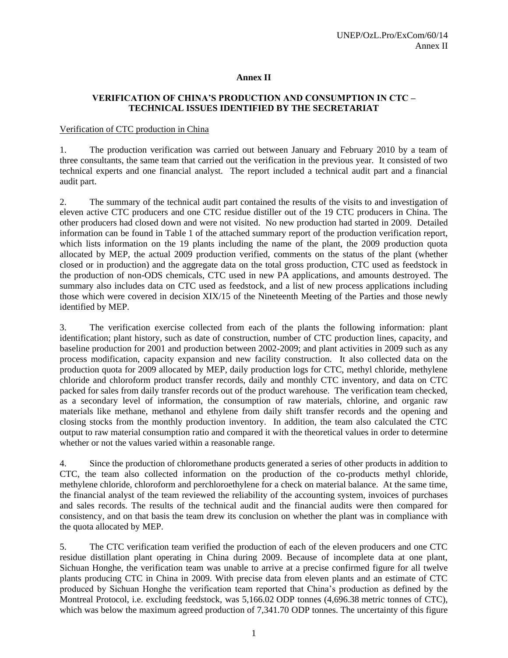#### **Annex II**

# **VERIFICATION OF CHINA'S PRODUCTION AND CONSUMPTION IN CTC – TECHNICAL ISSUES IDENTIFIED BY THE SECRETARIAT**

#### Verification of CTC production in China

1. The production verification was carried out between January and February 2010 by a team of three consultants, the same team that carried out the verification in the previous year. It consisted of two technical experts and one financial analyst. The report included a technical audit part and a financial audit part.

2. The summary of the technical audit part contained the results of the visits to and investigation of eleven active CTC producers and one CTC residue distiller out of the 19 CTC producers in China. The other producers had closed down and were not visited. No new production had started in 2009. Detailed information can be found in Table 1 of the attached summary report of the production verification report, which lists information on the 19 plants including the name of the plant, the 2009 production quota allocated by MEP, the actual 2009 production verified, comments on the status of the plant (whether closed or in production) and the aggregate data on the total gross production, CTC used as feedstock in the production of non-ODS chemicals, CTC used in new PA applications, and amounts destroyed. The summary also includes data on CTC used as feedstock, and a list of new process applications including those which were covered in decision XIX/15 of the Nineteenth Meeting of the Parties and those newly identified by MEP.

3. The verification exercise collected from each of the plants the following information: plant identification; plant history, such as date of construction, number of CTC production lines, capacity, and baseline production for 2001 and production between 2002-2009; and plant activities in 2009 such as any process modification, capacity expansion and new facility construction. It also collected data on the production quota for 2009 allocated by MEP, daily production logs for CTC, methyl chloride, methylene chloride and chloroform product transfer records, daily and monthly CTC inventory, and data on CTC packed for sales from daily transfer records out of the product warehouse. The verification team checked, as a secondary level of information, the consumption of raw materials, chlorine, and organic raw materials like methane, methanol and ethylene from daily shift transfer records and the opening and closing stocks from the monthly production inventory. In addition, the team also calculated the CTC output to raw material consumption ratio and compared it with the theoretical values in order to determine whether or not the values varied within a reasonable range.

4. Since the production of chloromethane products generated a series of other products in addition to CTC, the team also collected information on the production of the co-products methyl chloride, methylene chloride, chloroform and perchloroethylene for a check on material balance. At the same time, the financial analyst of the team reviewed the reliability of the accounting system, invoices of purchases and sales records. The results of the technical audit and the financial audits were then compared for consistency, and on that basis the team drew its conclusion on whether the plant was in compliance with the quota allocated by MEP.

5. The CTC verification team verified the production of each of the eleven producers and one CTC residue distillation plant operating in China during 2009. Because of incomplete data at one plant, Sichuan Honghe, the verification team was unable to arrive at a precise confirmed figure for all twelve plants producing CTC in China in 2009. With precise data from eleven plants and an estimate of CTC produced by Sichuan Honghe the verification team reported that China's production as defined by the Montreal Protocol, i.e. excluding feedstock, was 5,166.02 ODP tonnes (4,696.38 metric tonnes of CTC), which was below the maximum agreed production of 7,341.70 ODP tonnes. The uncertainty of this figure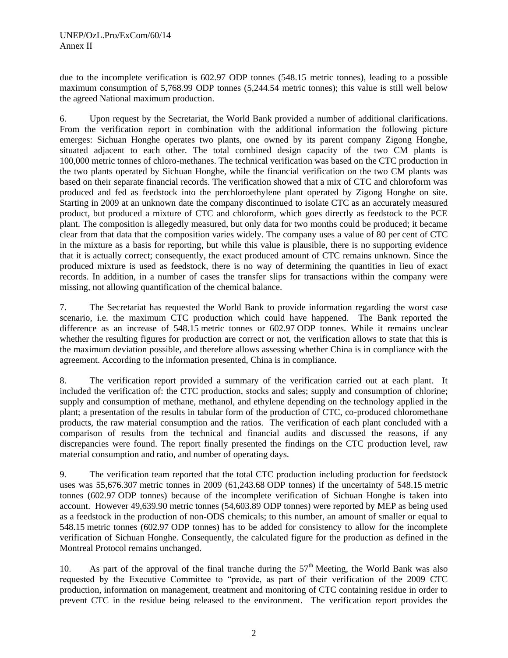due to the incomplete verification is 602.97 ODP tonnes (548.15 metric tonnes), leading to a possible maximum consumption of 5,768.99 ODP tonnes (5,244.54 metric tonnes); this value is still well below the agreed National maximum production.

6. Upon request by the Secretariat, the World Bank provided a number of additional clarifications. From the verification report in combination with the additional information the following picture emerges: Sichuan Honghe operates two plants, one owned by its parent company Zigong Honghe, situated adjacent to each other. The total combined design capacity of the two CM plants is 100,000 metric tonnes of chloro-methanes. The technical verification was based on the CTC production in the two plants operated by Sichuan Honghe, while the financial verification on the two CM plants was based on their separate financial records. The verification showed that a mix of CTC and chloroform was produced and fed as feedstock into the perchloroethylene plant operated by Zigong Honghe on site. Starting in 2009 at an unknown date the company discontinued to isolate CTC as an accurately measured product, but produced a mixture of CTC and chloroform, which goes directly as feedstock to the PCE plant. The composition is allegedly measured, but only data for two months could be produced; it became clear from that data that the composition varies widely. The company uses a value of 80 per cent of CTC in the mixture as a basis for reporting, but while this value is plausible, there is no supporting evidence that it is actually correct; consequently, the exact produced amount of CTC remains unknown. Since the produced mixture is used as feedstock, there is no way of determining the quantities in lieu of exact records. In addition, in a number of cases the transfer slips for transactions within the company were missing, not allowing quantification of the chemical balance.

7. The Secretariat has requested the World Bank to provide information regarding the worst case scenario, i.e. the maximum CTC production which could have happened. The Bank reported the difference as an increase of 548.15 metric tonnes or 602.97 ODP tonnes. While it remains unclear whether the resulting figures for production are correct or not, the verification allows to state that this is the maximum deviation possible, and therefore allows assessing whether China is in compliance with the agreement. According to the information presented, China is in compliance.

8. The verification report provided a summary of the verification carried out at each plant. It included the verification of: the CTC production, stocks and sales; supply and consumption of chlorine; supply and consumption of methane, methanol, and ethylene depending on the technology applied in the plant; a presentation of the results in tabular form of the production of CTC, co-produced chloromethane products, the raw material consumption and the ratios. The verification of each plant concluded with a comparison of results from the technical and financial audits and discussed the reasons, if any discrepancies were found. The report finally presented the findings on the CTC production level, raw material consumption and ratio, and number of operating days.

9. The verification team reported that the total CTC production including production for feedstock uses was 55,676.307 metric tonnes in 2009 (61,243.68 ODP tonnes) if the uncertainty of 548.15 metric tonnes (602.97 ODP tonnes) because of the incomplete verification of Sichuan Honghe is taken into account. However 49,639.90 metric tonnes (54,603.89 ODP tonnes) were reported by MEP as being used as a feedstock in the production of non-ODS chemicals; to this number, an amount of smaller or equal to 548.15 metric tonnes (602.97 ODP tonnes) has to be added for consistency to allow for the incomplete verification of Sichuan Honghe. Consequently, the calculated figure for the production as defined in the Montreal Protocol remains unchanged.

10. As part of the approval of the final tranche during the  $57<sup>th</sup>$  Meeting, the World Bank was also requested by the Executive Committee to "provide, as part of their verification of the 2009 CTC production, information on management, treatment and monitoring of CTC containing residue in order to prevent CTC in the residue being released to the environment. The verification report provides the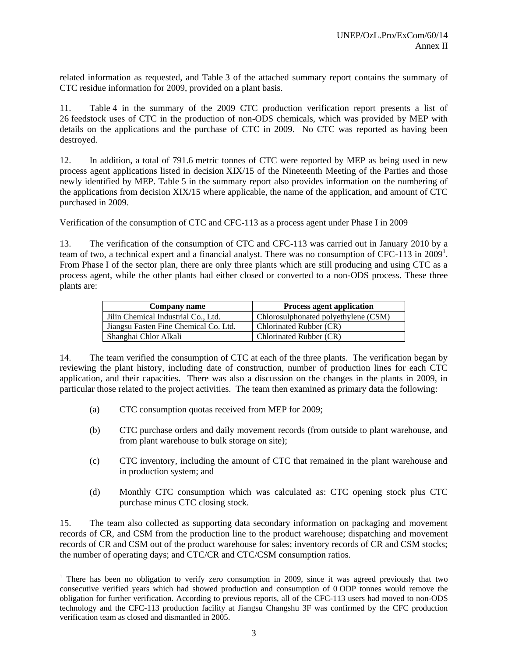related information as requested, and Table 3 of the attached summary report contains the summary of CTC residue information for 2009, provided on a plant basis.

11. Table 4 in the summary of the 2009 CTC production verification report presents a list of 26 feedstock uses of CTC in the production of non-ODS chemicals, which was provided by MEP with details on the applications and the purchase of CTC in 2009. No CTC was reported as having been destroyed.

12. In addition, a total of 791.6 metric tonnes of CTC were reported by MEP as being used in new process agent applications listed in decision XIX/15 of the Nineteenth Meeting of the Parties and those newly identified by MEP. Table 5 in the summary report also provides information on the numbering of the applications from decision XIX/15 where applicable, the name of the application, and amount of CTC purchased in 2009.

Verification of the consumption of CTC and CFC-113 as a process agent under Phase I in 2009

13. The verification of the consumption of CTC and CFC-113 was carried out in January 2010 by a team of two, a technical expert and a financial analyst. There was no consumption of CFC-113 in 2009<sup>1</sup>. From Phase I of the sector plan, there are only three plants which are still producing and using CTC as a process agent, while the other plants had either closed or converted to a non-ODS process. These three plants are:

| Company name                          | <b>Process agent application</b>     |
|---------------------------------------|--------------------------------------|
| Jilin Chemical Industrial Co., Ltd.   | Chlorosulphonated polyethylene (CSM) |
| Jiangsu Fasten Fine Chemical Co. Ltd. | Chlorinated Rubber (CR)              |
| Shanghai Chlor Alkali                 | Chlorinated Rubber (CR)              |

14. The team verified the consumption of CTC at each of the three plants. The verification began by reviewing the plant history, including date of construction, number of production lines for each CTC application, and their capacities. There was also a discussion on the changes in the plants in 2009, in particular those related to the project activities. The team then examined as primary data the following:

(a) CTC consumption quotas received from MEP for 2009;

l

- (b) CTC purchase orders and daily movement records (from outside to plant warehouse, and from plant warehouse to bulk storage on site);
- (c) CTC inventory, including the amount of CTC that remained in the plant warehouse and in production system; and
- (d) Monthly CTC consumption which was calculated as: CTC opening stock plus CTC purchase minus CTC closing stock.

15. The team also collected as supporting data secondary information on packaging and movement records of CR, and CSM from the production line to the product warehouse; dispatching and movement records of CR and CSM out of the product warehouse for sales; inventory records of CR and CSM stocks; the number of operating days; and CTC/CR and CTC/CSM consumption ratios.

<sup>&</sup>lt;sup>1</sup> There has been no obligation to verify zero consumption in 2009, since it was agreed previously that two consecutive verified years which had showed production and consumption of 0 ODP tonnes would remove the obligation for further verification. According to previous reports, all of the CFC-113 users had moved to non-ODS technology and the CFC-113 production facility at Jiangsu Changshu 3F was confirmed by the CFC production verification team as closed and dismantled in 2005.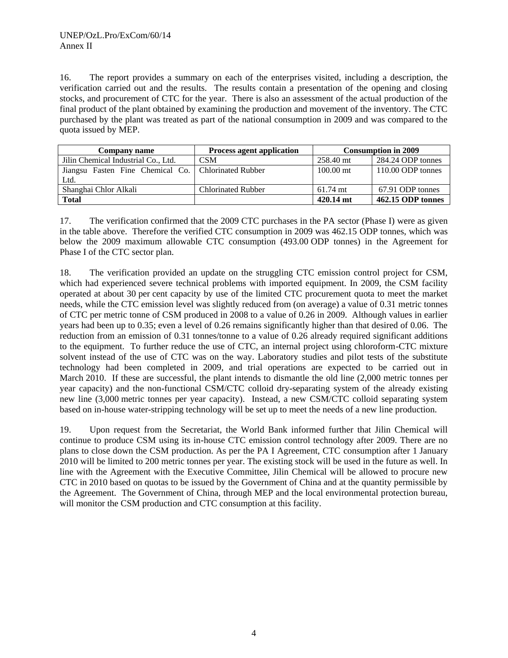16. The report provides a summary on each of the enterprises visited, including a description, the verification carried out and the results. The results contain a presentation of the opening and closing stocks, and procurement of CTC for the year. There is also an assessment of the actual production of the final product of the plant obtained by examining the production and movement of the inventory. The CTC purchased by the plant was treated as part of the national consumption in 2009 and was compared to the quota issued by MEP.

| Company name                                          | <b>Process agent application</b> | <b>Consumption in 2009</b> |                   |
|-------------------------------------------------------|----------------------------------|----------------------------|-------------------|
| Jilin Chemical Industrial Co., Ltd.                   | <b>CSM</b>                       | 258.40 mt                  | 284.24 ODP tonnes |
| Jiangsu Fasten Fine Chemical Co.   Chlorinated Rubber |                                  | $100.00$ mt                | 110.00 ODP tonnes |
| Ltd.                                                  |                                  |                            |                   |
| Shanghai Chlor Alkali                                 | <b>Chlorinated Rubber</b>        | $61.74$ mt                 | 67.91 ODP tonnes  |
| <b>Total</b>                                          |                                  | 420.14 mt                  | 462.15 ODP tonnes |

17. The verification confirmed that the 2009 CTC purchases in the PA sector (Phase I) were as given in the table above. Therefore the verified CTC consumption in 2009 was 462.15 ODP tonnes, which was below the 2009 maximum allowable CTC consumption (493.00 ODP tonnes) in the Agreement for Phase I of the CTC sector plan.

18. The verification provided an update on the struggling CTC emission control project for CSM, which had experienced severe technical problems with imported equipment. In 2009, the CSM facility operated at about 30 per cent capacity by use of the limited CTC procurement quota to meet the market needs, while the CTC emission level was slightly reduced from (on average) a value of 0.31 metric tonnes of CTC per metric tonne of CSM produced in 2008 to a value of 0.26 in 2009. Although values in earlier years had been up to 0.35; even a level of 0.26 remains significantly higher than that desired of 0.06. The reduction from an emission of 0.31 tonnes/tonne to a value of 0.26 already required significant additions to the equipment. To further reduce the use of CTC, an internal project using chloroform-CTC mixture solvent instead of the use of CTC was on the way. Laboratory studies and pilot tests of the substitute technology had been completed in 2009, and trial operations are expected to be carried out in March 2010. If these are successful, the plant intends to dismantle the old line (2,000 metric tonnes per year capacity) and the non-functional CSM/CTC colloid dry-separating system of the already existing new line (3,000 metric tonnes per year capacity). Instead, a new CSM/CTC colloid separating system based on in-house water-stripping technology will be set up to meet the needs of a new line production.

19. Upon request from the Secretariat, the World Bank informed further that Jilin Chemical will continue to produce CSM using its in-house CTC emission control technology after 2009. There are no plans to close down the CSM production. As per the PA I Agreement, CTC consumption after 1 January 2010 will be limited to 200 metric tonnes per year. The existing stock will be used in the future as well. In line with the Agreement with the Executive Committee, Jilin Chemical will be allowed to procure new CTC in 2010 based on quotas to be issued by the Government of China and at the quantity permissible by the Agreement. The Government of China, through MEP and the local environmental protection bureau, will monitor the CSM production and CTC consumption at this facility.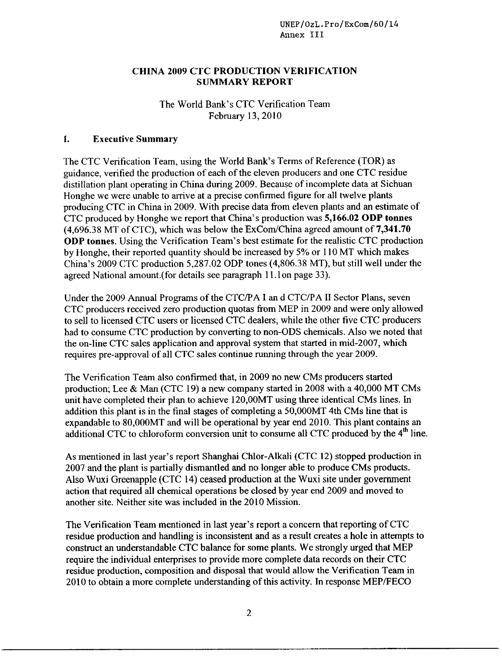UNEP**/**OzL.Pro**/**ExCom**/**60**/**14 Annex III

#### CHINA 2009 CTC PRO*D*UCTION VERIFICATIO*N* SUMMARY *R*EPORT

# The W*o*rld Bank's CTC Verification Team Februar**y** 13, 2010

#### 1. Execu*t*ive Summary

The CTC Verification Team, using the World Bank's Terms of Reference (TOR) as guidance, verified the production of each of the eleven producers and one CTC residue distillati*o*n plant operating in China during 2*0*09. Because of incomplete data at Sichuan H*o*nghe we were unable t*o* arrive at a precise confirmed figure for all twelve plants pr*o*ducing CTC in China in 2009. With precise data from eleven plants and an estimate of CTC produced by Honghe we report that China's producti*o*n was 5,166.02 *O*DP tonnes (4,696.38 MT of CTC), which was below the ExCom/China agreed amount of **7,341.70** *O*DP tonnes. Using the Verificati*o*n Team's best estimate f*o*r the realistic CTC pr*o*duction by Honghe, their reported quantity should be increased by 5% or 110 MT which makes China's 2*0*09 CTC production 5,287.02 ODP t*o*nes (4,806.38 MT), but still well under the agreed National amount.(for details see paragraph 11.1on page 33).

Under the 2009 Annual Programs of the CTC**/**PA I an d CTC**/**PA II Sector Plans, seven CTC producers received zero production qu*o*tas from MEP in 2009 and were only all*o*wed to sell to licensed CTC users *o*r licensed CTC dealers, while the other five CTC producers had to c*o*nsume CTC pr*o*ducti*o*n by converting to non-ODS chemicals. Als*o* we noted that the on-line CTC sales application and appr*o*val system that started in mid-2007, which requires pre-approval of all CTC sales continue running thr*o*ugh the year 20*0*9.

The Verificati*o*n Team also confirmed that, in 2009 no new CMs producers started production; Lee & Man (CTC 19) a new c*o*mpany started in 2008 with a 40,0*0*0 MT CMs unit have c*o*mpleted their plan to achieve 120,0*0*MT using three identical CMs lines. In additi*o*n this plant is in the final stages of completing a 5*0*,0*0*0MT 4th CMs line that is expandable to 8*0*,*0*0*0*MT and will be operational by year end 2*0*10. This plant contains an additional CTC to chloroform conversion unit to consume all CTC produced by the 4<sup>th</sup> line.

As menti*o*ned in last year's rep*o*rt Shanghai Chlor-Alkali (CTC 12) stopped pr*o*duction in 2*0*07 and the plant is partially dismantled and no longer able to pr*o*duce CMs products. Also Wuxi Greenapple (CTC 14) ceased pr*o*duction at the Wuxi site under government acti*o*n that required all chemical operations be cl*o*sed by year end 2009 and m*o*ved to another site. Neither site was included in the 2010 Missi*o*n.

The Verification Team mentioned in last year's report a concern that reporting of CTC residue production and handling is inconsistent and as a result creates a hole in attempts to construct an understandable CTC balance for some plants. We strongly urged that MEP require the individual enterprises to provide more complete data records on their CTC residue production, composition and disposal that would allow the Verification Team in 2010 to obtain a more complete understanding of this activity. In response MEP**/**FECO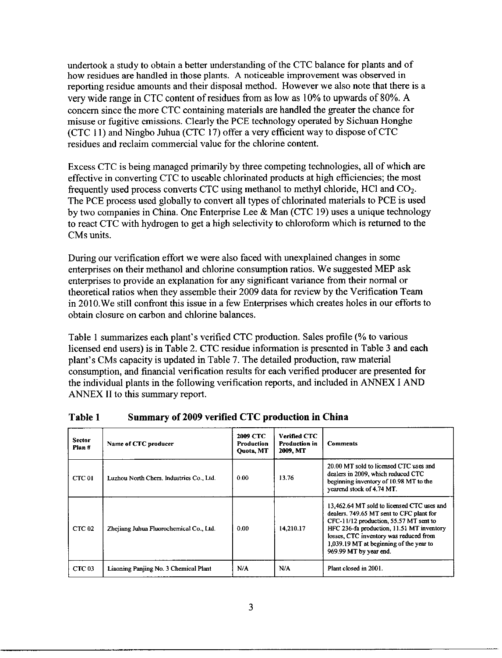undertook a study to obtain a better understanding of the CTC balance for plants and of how residues are handled in those plants. A noticeable improvement was observed in reporting residue amounts and their disposal method. However we also note that there is a very wide range in CTC content of residues from as low as 10% to upwards of 80%. A concern since the more CTC containing materials are handled the greater the chance for misuse or fugitive emissions. Clearly the PCE technology operated by Sichuan Honghe (CTC 11) and Ningbo Juhua (CTC 17) offer a very efficient way to dispose of CTC residues and reclaim commercial value for the chlorine content.

Excess CTC is being managed primarily by three competing technologies, all of which are effective in converting CTC to useable chlorinated products at high efficiencies; the most frequently used process converts CTC using methanol to methyl chloride, HC1 and CO2. The PCE process used globally to convert all types of chlorinated materials to PCE is used by two companies in China. One Enterprise Lee & Man (CTC 19) uses a unique technology to react CTC with hydrogen to get a high selectivity to chloroform which is returned to the CMs units.

During our verification effort we were also faced with unexplained changes in some enterprises on their methanol and chlorine consumption ratios. We suggested MEP ask enterprises to provide an explanation for any significant variance from their normal or theoretical ratios when they assemble their 2009 data for review by the Verification Team in 2010.We still confront this issue in a few Enterprises which creates holes in our efforts to obtain closure on carbon and chlorine balances.

Table 1 summarizes each plant's verified CTC production. Sales profile (% to various licensed end users) is in Table 2. CTC residue information is presented in Table 3 and each plant's CMs capacity is updated in Table 7. The detailed production, raw material consumption, and financial verification results for each verified producer are presented for the individual plants in the following verification reports, and included in ANNEX I AND ANNEX II to this summary report.

| <b>Sector</b><br>Plan# | Name of CTC producer                    | <b>2009 CTC</b><br><b>Production</b><br>Quota, MT | <b>Verified CTC</b><br><b>Production in</b><br>2009. MT | <b>Comments</b>                                                                                                                                                                                                                                                                              |
|------------------------|-----------------------------------------|---------------------------------------------------|---------------------------------------------------------|----------------------------------------------------------------------------------------------------------------------------------------------------------------------------------------------------------------------------------------------------------------------------------------------|
| CTC 01                 | Luzhou North Chem. Industries Co., Ltd. | 0.00                                              | 13.76                                                   | 20.00 MT sold to licensed CTC uses and<br>dealers in 2009, which reduced CTC<br>beginning inventory of 10.98 MT to the<br>yearend stock of 4.74 MT.                                                                                                                                          |
| CTC <sub>02</sub>      | Zheijang Juhua Fluorochemical Co., Ltd. | 0.00                                              | 14.210.17                                               | 13,462.64 MT sold to licensed CTC uses and<br>dealers. 749.65 MT sent to CFC plant for<br>CFC-11/12 production, 55.57 MT sent to<br>HFC 236-fa production, 11.51 MT inventory<br>losses, CTC inventory was reduced from<br>1,039.19 MT at beginning of the year to<br>969.99 MT by year end. |
| CTC <sub>03</sub>      | Liaoning Panjing No. 3 Chemical Plant   | N/A                                               | N/A                                                     | Plant closed in 2001.                                                                                                                                                                                                                                                                        |

# Table 1 Summary of 2009 verified CTC production in China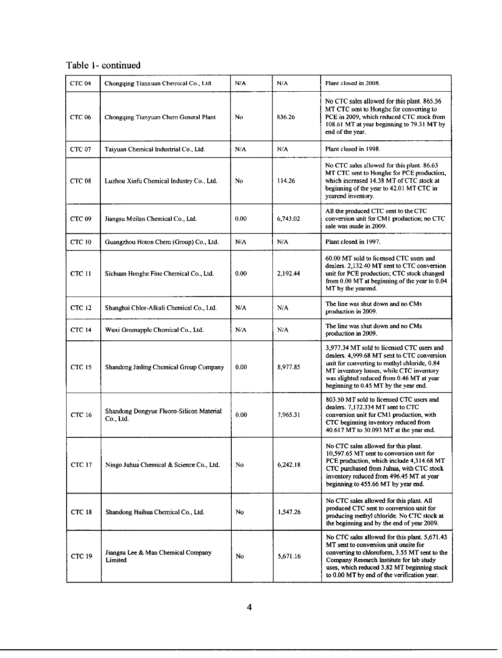# Table 1- continued

| CTC <sub>04</sub> | Chongqing Tianxuan Chemical Co., Ltd.                 | N/A  | N/A      | Plant closed in 2008.                                                                                                                                                                                                                                                             |
|-------------------|-------------------------------------------------------|------|----------|-----------------------------------------------------------------------------------------------------------------------------------------------------------------------------------------------------------------------------------------------------------------------------------|
| <b>CTC 06</b>     | Chongqing Tianyuan Chem General Plant                 | No   | 836.26   | No CTC sales allowed for this plant. 865.56<br>MT CTC sent to Honghe for converting to<br>PCE in 2009, which reduced CTC stock from<br>108.61 MT at year beginning to 79.31 MT by<br>end of the year.                                                                             |
| CTC <sub>07</sub> | Taiyuan Chemical Industrial Co., Ltd.                 | N/A  | N/A      | Plant closed in 1998.                                                                                                                                                                                                                                                             |
| CTC <sub>08</sub> | Luzhou Xinfu Chemical Industry Co., Ltd.              | No   | 114.26   | No CTC sales allowed for this plant. 86.63<br>MT CTC sent to Honghe for PCE production,<br>which increased 14.38 MT of CTC stock at<br>beginning of the year to 42.01 MT CTC in<br>yearend inventory.                                                                             |
| CTC <sub>09</sub> | Jiangsu Meilan Chemical Co., Ltd.                     | 0.00 | 6,743.02 | All the produced CTC sent to the CTC<br>conversion unit for CM1 production; no CTC<br>sale was made in 2009.                                                                                                                                                                      |
| CTC 10            | Guangzhou Hoton Chem (Group) Co., Ltd.                | N/A  | N/A      | Plant closed in 1997.                                                                                                                                                                                                                                                             |
| <b>CTC 11</b>     | Sichuan Honghe Fine Chemical Co., Ltd.                | 0.00 | 2,192.44 | 60.00 MT sold to licensed CTC users and<br>dealers. 2,132.40 MT sent to CTC conversion<br>unit for PCE production; CTC stock changed<br>from $0.00$ MT at beginning of the year to $0.04$<br>MT by the yearend.                                                                   |
| <b>CTC 12</b>     | Shanghai Chlor-Alkali Chemical Co., Ltd.              | N/A  | N/A      | The line was shut down and no CMs<br>production in 2009.                                                                                                                                                                                                                          |
| CTC 14            | Wuxi Greenapple Chemical Co., Ltd.                    | N/A  | N/A      | The line was shut down and no CMs<br>production in 2009.                                                                                                                                                                                                                          |
| CTC 15            | Shandong Jinling Chemical Group Company               | 0.00 | 8,977.85 | 3,977.34 MT sold to licensed CTC users and<br>dealers. 4,999.68 MT sent to CTC conversion<br>unit for converting to methyl chloride, 0.84<br>MT inventory losses, while CTC inventory<br>was slighted reduced from 0.46 MT at year<br>beginning to 0.45 MT by the year end.       |
| <b>CTC 16</b>     | Shandong Dongyue Fluoro-Silicon Material<br>Co., Ltd. | 0.00 | 7,965.31 | 803.50 MT sold to licensed CTC users and<br>dealers. 7.172.334 MT sent to CTC<br>conversion unit for CM1 production, with<br>CTC beginning inventory reduced from<br>40.617 MT to 30.093 MT at the year end.                                                                      |
| <b>CTC 17</b>     | Ningo Juhua Chemical & Science Co., Ltd.              | No.  | 6,242.18 | No CTC sales allowed for this plant.<br>10,597.65 MT sent to conversion unit for<br>PCE production, which include 4,314.68 MT<br>CTC purchased from Juhua, with CTC stock<br>inventory reduced from 496.45 MT at year<br>beginning to 455.66 MT by year end.                      |
| <b>CTC 18</b>     | Shandong Haihua Chemical Co., Ltd.                    | No   | 1,547.26 | No CTC sales allowed for this plant. All<br>produced CTC sent to conversion unit for<br>producing methyl chloride. No CTC stock at<br>the beginning and by the end of year 2009.                                                                                                  |
| CTC 19            | Jiangsu Lee & Man Chemical Company<br>Limited         | No   | 5,671.16 | No CTC sales allowed for this plant. 5,671.43<br>MT sent to conversion unit onsite for<br>converting to chloroform, 3.55 MT sent to the<br>Company Research Institute for lab study<br>uses, which reduced 3.82 MT beginning stock<br>to 0.00 MT by end of the verification year. |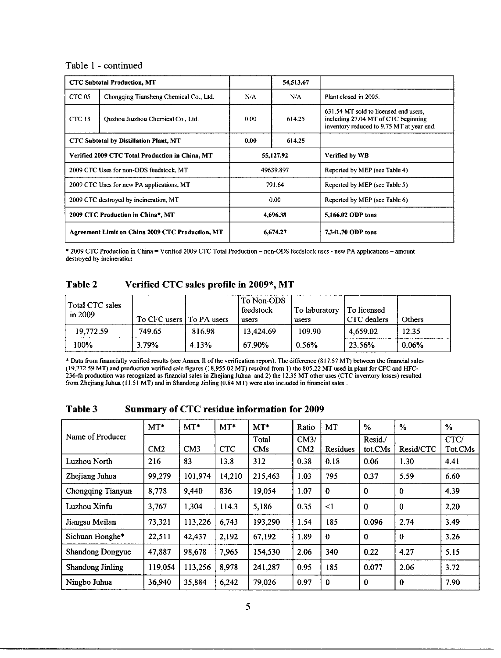#### Table 1 - continued

|                                                  | <b>CTC Subtotal Production, MT</b>              |          | 54,513.67 |                                                                                                                           |
|--------------------------------------------------|-------------------------------------------------|----------|-----------|---------------------------------------------------------------------------------------------------------------------------|
| CTC 05                                           | Chongqing Tiansheng Chemical Co., Ltd.          | N/A      | N/A       | Plant closed in 2005.                                                                                                     |
| CTC 13                                           | Quzhou Jiuzhou Chemical Co., Ltd.               | 0.00     | 614.25    | 631.54 MT sold to licensed end users.<br>including 27.04 MT of CTC beginning<br>inventory reduced to 9.75 MT at year end. |
| <b>CTC Subtotal by Distillation Plant, MT</b>    |                                                 | 0.00     | 614.25    |                                                                                                                           |
|                                                  | Verified 2009 CTC Total Production in China, MT |          | 55.127.92 | Verified by WB                                                                                                            |
|                                                  | 2009 CTC Uses for non-ODS feedstock, MT         |          | 49639.897 | Reported by MEP (see Table 4)                                                                                             |
| 2009 CTC Uses for new PA applications, MT        |                                                 | 791.64   |           | Reported by MEP (see Table 5)                                                                                             |
| 2009 CTC destroyed by incineration, MT           |                                                 | 0.00     |           | Reported by MEP (see Table 6)                                                                                             |
| 2009 CTC Production in China*, MT                |                                                 | 4,696.38 |           | 5.166.02 ODP tons                                                                                                         |
| Agreement Limit on China 2009 CTC Production, MT |                                                 |          | 6,674.27  | 7.341.70 ODP tons                                                                                                         |

\* 2009 CTC *P*roduction in China = Verified 2009 CTC Total Production - non-ODS feedstock us*e*s - new PA applications**-** amount d*e*st*r*oy*ed* by incin**e**ration

# Table 2 *Verifi*e*d* CT*C* sales pro*fi*le in 2*00*9\*, M*T*

| Total CTC sales<br>in 2009 | To CFC users   To PA users |        | To Non-ODS<br>feedstock<br>users | 1 To laboratory<br>users | I To licensed<br>CTC dealers | Others |
|----------------------------|----------------------------|--------|----------------------------------|--------------------------|------------------------------|--------|
| 19,772.59                  | 749.65                     | 816.98 | 13.424.69                        | 109.90                   | 4.659.02                     | 12.35  |
| 100%                       | 3.79%                      | 4.13%  | 67.90%                           | 0.56%                    | 23.56%                       | 0.06%  |

\* Data from financially veri*fi*ed results (see Annex 11 of thc verification *r*eport). The difference (81*7*,57 MT) between th*e* financial sales ( 19,772.**5**9 MT) and production verified sale figures ( 18,9**55**.02 MT) resulted from I ) the 80**5**.22 M**T** used in plant for CFC and HFC-236-fa production was recognized as financial sales in Zhejiang Juhua and 2) the 12.3**5** MT other uses (CTC inventory losses) resulted from Zhejiang Juhua (11.**5**1 MT) and in Shandong Jinling (0.84 MT) were also included in financial sales .

|                         | $MT^*$  | $MT*$   | $MT*$      | $MT^*$       | Ratio       | MT          | $\frac{0}{2}$      | $\%$             | $\%$            |
|-------------------------|---------|---------|------------|--------------|-------------|-------------|--------------------|------------------|-----------------|
| Name of Producer        | CM2     | CM3     | <b>CTC</b> | Total<br>CMs | CM3/<br>CM2 | Residues    | Resid./<br>tot.CMs | Resid/CTC        | CTC/<br>Tot.CMs |
| Luzhou North            | 216     | 83      | 13.8       | 312          | 0.38        | 0.18        | 0.06               | 1.30             | 4.41            |
| Zhejiang Juhua          | 99.279  | 101,974 | 14,210     | 215,463      | 1.03        | 795         | 0.37               | 5.59             | 6.60            |
| Chongqing Tianyun       | 8,778   | 9,440   | 836        | 19,054       | 1.07        | $\bf{0}$    | $\bf{0}$           | $\bf{0}$         | 4.39            |
| Luzhou Xinfu            | 3,767   | 1,304   | 114.3      | 5,186        | 0.35        | $\leq$ 1    | $\bf{0}$           | $\Omega$         | 2.20            |
| Jiangsu Meilan          | 73.321  | 113,226 | 6,743      | 193,290      | 1.54        | 185         | 0.096              | 2.74             | 3.49            |
| Sichuan Honghe*         | 22.511  | 42,437  | 2.192      | 67,192       | 1.89        | $\bf{0}$    | $\mathbf 0$        | $\theta$         | 3.26            |
| <b>Shandong Dongyue</b> | 47,887  | 98,678  | 7.965      | 154,530      | 2.06        | 340         | 0.22               | 4.27             | 5.15            |
| <b>Shandong Jinling</b> | 119,054 | 113,256 | 8.978      | 241,287      | 0.95        | 185         | 0.077              | 2.06             | 3.72            |
| Ningbo Juhua            | 36,940  | 35,884  | 6,242      | 79,026       | 0.97        | $\mathbf 0$ | $\bf{0}$           | $\boldsymbol{0}$ | 7.90            |

| Table 3 |  |  |  | Summary of CTC residue information for 2009 |  |  |
|---------|--|--|--|---------------------------------------------|--|--|
|---------|--|--|--|---------------------------------------------|--|--|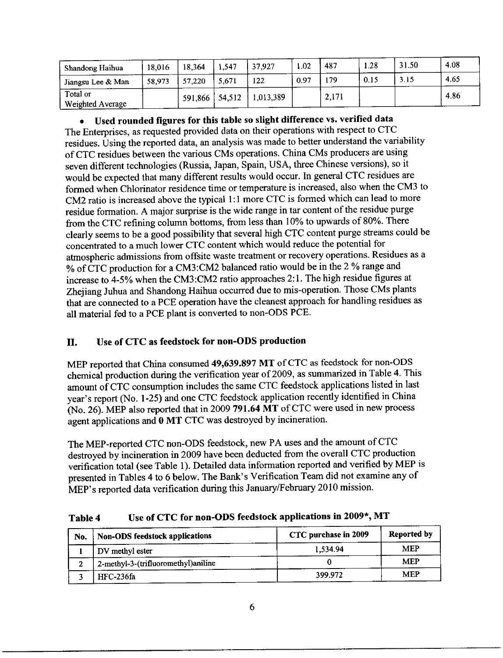| Shandong Haihua              | 18.016 | 18.364  | 1,547  | 37,927    | 1.02 | 487   | . 28 | 31.50 | 4.08 |
|------------------------------|--------|---------|--------|-----------|------|-------|------|-------|------|
| Jiangsu Lee & Man            | 58.973 | 57,220  | 5.671  | 122       | 0.97 | 179   | 0.15 | 3.15  | 4.65 |
| Total or<br>Weighted Average |        | 591,866 | 54,512 | 1,013,389 |      | 2.171 |      |       | 4.86 |

· Used rounded figures for this table so slight difference vs. verified data The Enterprises**,** as requested provided data on their operations with respect to CTC residues. Using the reported data, an analysis was made to better understand the variability of CTC residues between the various CMs operations. China CMs producers are using s**e**v**e**n diff**e**rent technologies (Russia**,** Japan**,** Spain**,** USA, three Chinese versions)**,** so it would be expected that many different results would occur. In general CTC residues are formed when Chlorinator residenc**e** time or temperature is increased, also when the CM3 to CM2 ratio is increased above the t**y**pical 1:1 more CTC is formed which can lead to mor**e** residue formation. A major surprise is the wide range in tar content of the residue purge from the CTC refining column bottoms, from less than 10% to upwards of 80%. There clearly seems to be a good possibility that severai high CTC content purge streams coul**d** be concentrated to a much lower CTC content which would reduce the potential for atmospheric admissions from offsite waste treatment or recovery operations. Residues as a % of CTC production for a CM3.'CM2 balanced rati**o** would be in the 2 % ran**g**e and increase to 4-**5**% when the CM3:CM2 ratio approaches 2:1. The high residue figures at Zhejiang Juhna and Shandong Haihua occurred due to mis-operation. Those CMs plants that are conne**c**ted t**o** a PCE operation have the cleanest approach for handling residues a**s** all material fed to a PCE plant is converted to non-ODS PCE.

# I*I. Use of CTC as feeds*t*ock fo*r *n*o*n*-O*D*S *p*r*oduction*

MEP *re*p*o*rt*e*d *t*ha*t* Chi*n*a c*ons*um*e*d 4*9,*63*9.89*7 *MT o*f CTC a*s* fe*e*d*s*t**o**c*k* f*o*r *non-*ODS chemical production during the verification year of 2009, as summarized in Table 4. This amount of CTC consumption includes the same CTC feedstock applications listed in last  $\frac{1}{2}$  amount of CTC consumption includes the same CTC recustors approaches noted in year's report (No. 1-25) and one CTC recussions application recently fundamental (N*o.* 26)*.* ME*P* al*so* r*epo*rted that i*n* 2*00*9 7*91.***6**4 *MT o*f C*T*C w*e*r*e* u*se*d i*n ne*w *p*r*o*c*ess* ag*ent* a*pp*lica*t*i*ons* and *0 M*T C*T*C wa*s* d*es*tr*oye*d b*y* i*n*c*ine*ra*t*i*on*.

The ME*P*-rep*o*rt*c*d C*T*C *non*-O*D*S f*e*ed*s*t*o*c*k***,** *ne*w PA u*ses* and *t*h*e* am**o**u*nt o*f C*T*C destroyed by incineration in 2009 have been deducted from the overall  $\sigma_1 \sigma$  product verification total (see Table 1). Detailed data information reported and vertical by ME. presented in Tables 4 to 6 below. The Bank's Verification Team did not examine any of MEP's reported data verification during this January/February 2010 mission.

Ta*bl*e 4 Use *of* CT*C for non*-O*D*S *fe*e*d*s*tock* a*pp*licat*i*o*n*s *in* 2*00*9'*, M*T

| No. | <b>Non-ODS feedstock applications</b> | CTC purchase in 2009 | Reported by |
|-----|---------------------------------------|----------------------|-------------|
|     | DV methyl ester                       | 1,534.94             | MEP         |
|     | 2-methyl-3-(trifluoromethyl)aniline   |                      | MEP         |
|     | <b>HFC-236fa</b>                      | 399.972              | MEP         |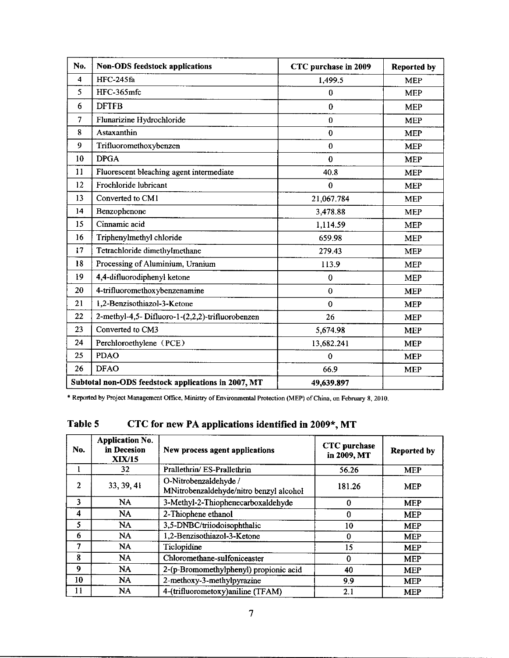| No.                     | Non-ODS feedstock applications                      | CTC purchase in 2009 | <b>Reported by</b> |
|-------------------------|-----------------------------------------------------|----------------------|--------------------|
| $\overline{\mathbf{4}}$ | HFC-245fa                                           | 1,499.5              | <b>MEP</b>         |
| 5                       | HFC-365mfc                                          | $\bf{0}$             | <b>MEP</b>         |
| 6                       | <b>DFTFB</b>                                        | $\bf{0}$             | <b>MEP</b>         |
| 7                       | Flunarizine Hydrochloride                           | $\bf{0}$             | <b>MEP</b>         |
| 8                       | Astaxanthin                                         | $\bf{0}$             | <b>MEP</b>         |
| 9                       | Trifluoromethoxybenzen                              | $\bf{0}$             | <b>MEP</b>         |
| 10                      | <b>DPGA</b>                                         | $\bf{0}$             | <b>MEP</b>         |
| 11                      | Fluorescent bleaching agent intermediate            | 40.8                 | <b>MEP</b>         |
| 12                      | Frochloride lubricant                               | $\bf{0}$             | <b>MEP</b>         |
| 13                      | Converted to CM1                                    | 21,067.784           | <b>MEP</b>         |
| 14                      | Benzophenone                                        | 3,478.88             | <b>MEP</b>         |
| 15                      | Cinnamic acid                                       | 1,114.59             | <b>MEP</b>         |
| 16                      | Triphenylmethyl chloride                            | 659.98               | <b>MEP</b>         |
| 17                      | Tetrachloride dimethylmethane                       | 279.43               | <b>MEP</b>         |
| 18                      | Processing of Aluminium, Uranium                    | 113.9                | <b>MEP</b>         |
| 19                      | 4,4-difluorodiphenyl ketone                         | $\bf{0}$             | <b>MEP</b>         |
| 20                      | 4-trifluoromethoxybenzenamine                       | $\bf{0}$             | <b>MEP</b>         |
| 21                      | 1,2-Benzisothiazol-3-Ketone                         | $\bf{0}$             | <b>MEP</b>         |
| 22                      | 2-methyl-4,5-Difluoro-1-(2,2,2)-trifluorobenzen     | 26                   | <b>MEP</b>         |
| 23                      | Converted to CM3                                    | 5,674.98             | <b>MEP</b>         |
| 24                      | Perchloroethylene (PCE)                             | 13,682.241           | <b>MEP</b>         |
| 25                      | <b>PDAO</b>                                         | $\Omega$             | <b>MEP</b>         |
| 26                      | <b>DFAO</b>                                         | 66.9                 | <b>MEP</b>         |
|                         | Subtotal non-ODS feedstock applications in 2007, MT | 49,639.897           |                    |

\* Reported by Project Management Office, Ministry of Environmental Protection (MEP) of China, on February 8, 2010.

# Table **5** CTC for new PA applications identi*fi*ed in 2009\*, MT

| No. | <b>Application No.</b><br>in Decesion<br><b>XIX/15</b> | New process agent applications                                   | <b>CTC</b> purchase<br>in 2009, MT | <b>Reported by</b> |
|-----|--------------------------------------------------------|------------------------------------------------------------------|------------------------------------|--------------------|
|     | 32                                                     | Prallethrin/ES-Prallethrin                                       | 56.26                              | <b>MEP</b>         |
| 2   | 33, 39, 41                                             | O-Nitrobenzaldehyde /<br>MNitrobenzaldehyde/nitro benzyl alcohol | 181.26                             | <b>MEP</b>         |
| 3   | <b>NA</b>                                              | 3-Methyl-2-Thiophenecarboxaldehyde                               | 0                                  | <b>MEP</b>         |
| 4   | NA                                                     | 2-Thiophene ethanol                                              | $\bf{0}$                           | <b>MEP</b>         |
| 5   | N <sub>A</sub>                                         | 3,5-DNBC/triiodoisophthalic                                      | 10                                 | <b>MEP</b>         |
| 6   | <b>NA</b>                                              | 1,2-Benzisothiazol-3-Ketone                                      | 0                                  | <b>MEP</b>         |
| 7   | NA.                                                    | Ticlopidine                                                      | 15                                 | <b>MEP</b>         |
| 8   | <b>NA</b>                                              | Chloromethane-sulfoniceaster                                     | 0                                  | <b>MEP</b>         |
| 9   | NA.                                                    | 2-(p-Bromomethylphenyl) propionic acid                           | 40                                 | <b>MEP</b>         |
| 10  | <b>NA</b>                                              | 2-methoxy-3-methylpyrazine                                       | 9.9                                | <b>MEP</b>         |
| 11  | NA.                                                    | 4-(trifluorometoxy)aniline (TFAM)                                | 2.1                                | <b>MEP</b>         |